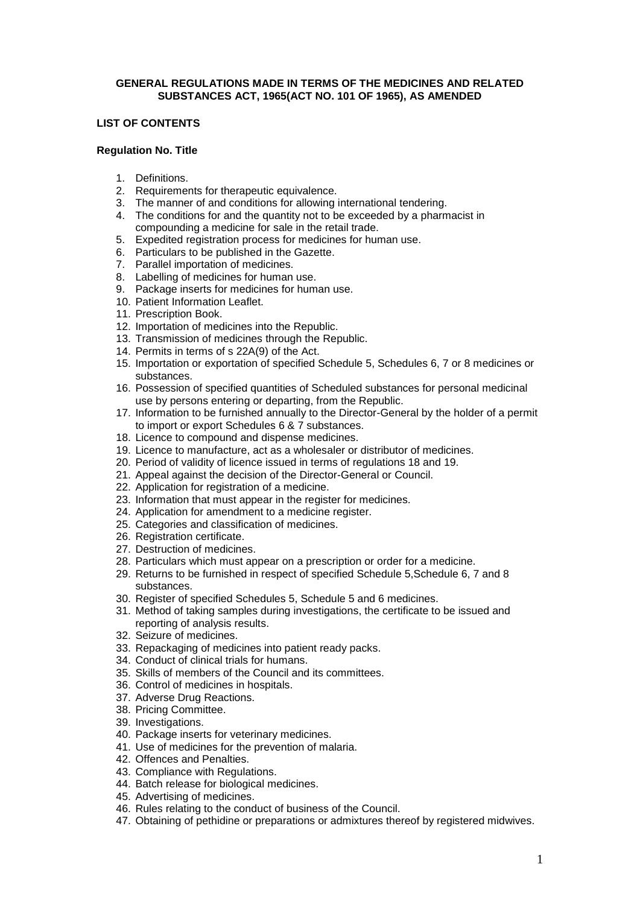## **GENERAL REGULATIONS MADE IN TERMS OF THE MEDICINES AND RELATED SUBSTANCES ACT, 1965(ACT NO. 101 OF 1965), AS AMENDED**

## **LIST OF CONTENTS**

#### **Regulation No. Title**

- 1. Definitions.
- 2. Requirements for therapeutic equivalence.
- 3. The manner of and conditions for allowing international tendering.
- 4. The conditions for and the quantity not to be exceeded by a pharmacist in compounding a medicine for sale in the retail trade.
- 5. Expedited registration process for medicines for human use.
- 6. Particulars to be published in the Gazette.
- 7. Parallel importation of medicines.
- 8. Labelling of medicines for human use.
- 9. Package inserts for medicines for human use.
- 10. Patient Information Leaflet.
- 11. Prescription Book.
- 12. Importation of medicines into the Republic.
- 13. Transmission of medicines through the Republic.
- 14. Permits in terms of s 22A(9) of the Act.
- 15. Importation or exportation of specified Schedule 5, Schedules 6, 7 or 8 medicines or substances.
- 16. Possession of specified quantities of Scheduled substances for personal medicinal use by persons entering or departing, from the Republic.
- 17. Information to be furnished annually to the Director-General by the holder of a permit to import or export Schedules 6 & 7 substances.
- 18. Licence to compound and dispense medicines.
- 19. Licence to manufacture, act as a wholesaler or distributor of medicines.
- 20. Period of validity of licence issued in terms of regulations 18 and 19.
- 21. Appeal against the decision of the Director-General or Council.
- 22. Application for registration of a medicine.
- 23. Information that must appear in the register for medicines.
- 24. Application for amendment to a medicine register.
- 25. Categories and classification of medicines.
- 26. Registration certificate.
- 27. Destruction of medicines.
- 28. Particulars which must appear on a prescription or order for a medicine.
- 29. Returns to be furnished in respect of specified Schedule 5,Schedule 6, 7 and 8 substances.
- 30. Register of specified Schedules 5, Schedule 5 and 6 medicines.
- 31. Method of taking samples during investigations, the certificate to be issued and reporting of analysis results.
- 32. Seizure of medicines.
- 33. Repackaging of medicines into patient ready packs.
- 34. Conduct of clinical trials for humans.
- 35. Skills of members of the Council and its committees.
- 36. Control of medicines in hospitals.
- 37. Adverse Drug Reactions.
- 38. Pricing Committee.
- 39. Investigations.
- 40. Package inserts for veterinary medicines.
- 41. Use of medicines for the prevention of malaria.
- 42. Offences and Penalties.
- 43. Compliance with Regulations.
- 44. Batch release for biological medicines.
- 45. Advertising of medicines.
- 46. Rules relating to the conduct of business of the Council.
- 47. Obtaining of pethidine or preparations or admixtures thereof by registered midwives.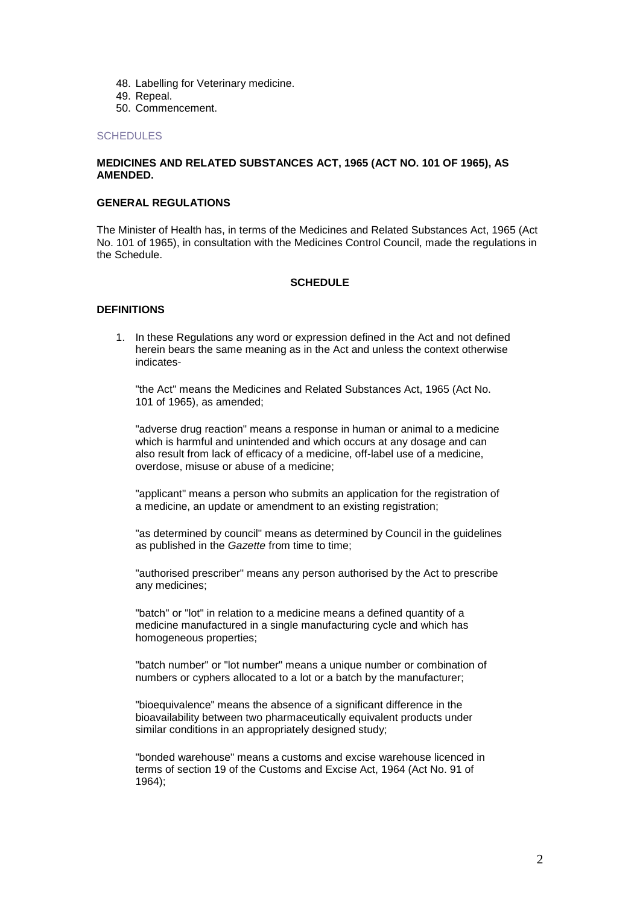- 48. Labelling for Veterinary medicine.
- 49. Repeal.
- 50. Commencement.

#### **[SCHEDULES](http://www.doh.gov.za/docs/regulations/2003/medcontrol1.html)**

#### **MEDICINES AND RELATED SUBSTANCES ACT, 1965 (ACT NO. 101 OF 1965), AS AMENDED.**

#### **GENERAL REGULATIONS**

The Minister of Health has, in terms of the Medicines and Related Substances Act, 1965 (Act No. 101 of 1965), in consultation with the Medicines Control Council, made the regulations in the Schedule.

#### **SCHEDULE**

#### **DEFINITIONS**

1. In these Regulations any word or expression defined in the Act and not defined herein bears the same meaning as in the Act and unless the context otherwise indicates-

"the Act" means the Medicines and Related Substances Act, 1965 (Act No. 101 of 1965), as amended;

"adverse drug reaction" means a response in human or animal to a medicine which is harmful and unintended and which occurs at any dosage and can also result from lack of efficacy of a medicine, off-label use of a medicine, overdose, misuse or abuse of a medicine;

"applicant" means a person who submits an application for the registration of a medicine, an update or amendment to an existing registration;

"as determined by council" means as determined by Council in the guidelines as published in the *Gazette* from time to time;

"authorised prescriber" means any person authorised by the Act to prescribe any medicines;

"batch" or "lot" in relation to a medicine means a defined quantity of a medicine manufactured in a single manufacturing cycle and which has homogeneous properties;

"batch number" or "lot number" means a unique number or combination of numbers or cyphers allocated to a lot or a batch by the manufacturer;

"bioequivalence" means the absence of a significant difference in the bioavailability between two pharmaceutically equivalent products under similar conditions in an appropriately designed study;

"bonded warehouse" means a customs and excise warehouse licenced in terms of section 19 of the Customs and Excise Act, 1964 (Act No. 91 of 1964);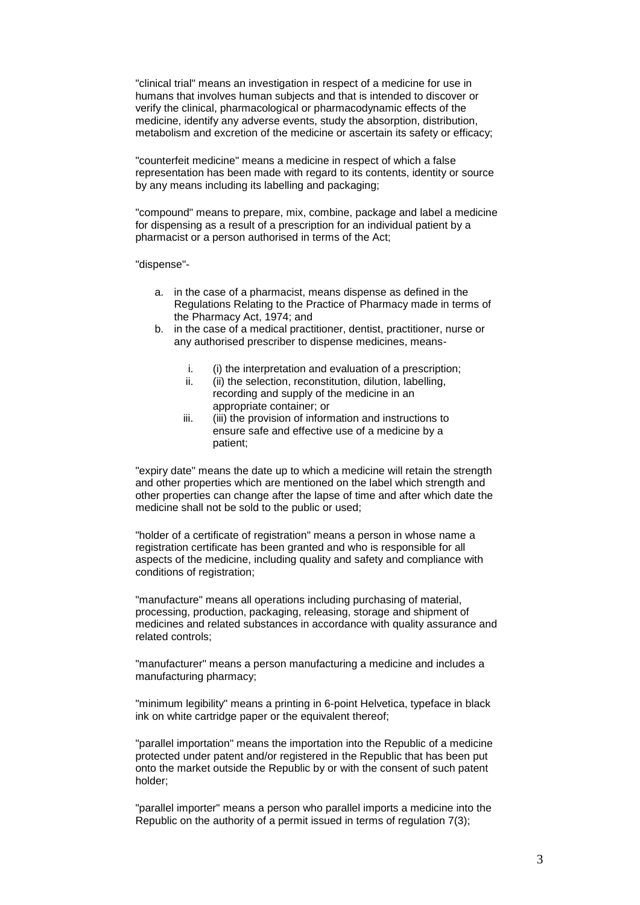"clinical trial" means an investigation in respect of a medicine for use in humans that involves human subjects and that is intended to discover or verify the clinical, pharmacological or pharmacodynamic effects of the medicine, identify any adverse events, study the absorption, distribution, metabolism and excretion of the medicine or ascertain its safety or efficacy;

"counterfeit medicine" means a medicine in respect of which a false representation has been made with regard to its contents, identity or source by any means including its labelling and packaging;

"compound" means to prepare, mix, combine, package and label a medicine for dispensing as a result of a prescription for an individual patient by a pharmacist or a person authorised in terms of the Act;

"dispense"-

- a. in the case of a pharmacist, means dispense as defined in the Regulations Relating to the Practice of Pharmacy made in terms of the Pharmacy Act, 1974; and
- b. in the case of a medical practitioner, dentist, practitioner, nurse or any authorised prescriber to dispense medicines, means
	- i. (i) the interpretation and evaluation of a prescription;<br>ii (ii) the selection reconstitution dilution labelling
	- (ii) the selection, reconstitution, dilution, labelling, recording and supply of the medicine in an appropriate container; or
	- iii. (iii) the provision of information and instructions to ensure safe and effective use of a medicine by a patient;

"expiry date" means the date up to which a medicine will retain the strength and other properties which are mentioned on the label which strength and other properties can change after the lapse of time and after which date the medicine shall not be sold to the public or used;

"holder of a certificate of registration" means a person in whose name a registration certificate has been granted and who is responsible for all aspects of the medicine, including quality and safety and compliance with conditions of registration;

"manufacture" means all operations including purchasing of material, processing, production, packaging, releasing, storage and shipment of medicines and related substances in accordance with quality assurance and related controls;

"manufacturer" means a person manufacturing a medicine and includes a manufacturing pharmacy;

"minimum legibility" means a printing in 6-point Helvetica, typeface in black ink on white cartridge paper or the equivalent thereof;

"parallel importation" means the importation into the Republic of a medicine protected under patent and/or registered in the Republic that has been put onto the market outside the Republic by or with the consent of such patent holder;

"parallel importer" means a person who parallel imports a medicine into the Republic on the authority of a permit issued in terms of regulation 7(3);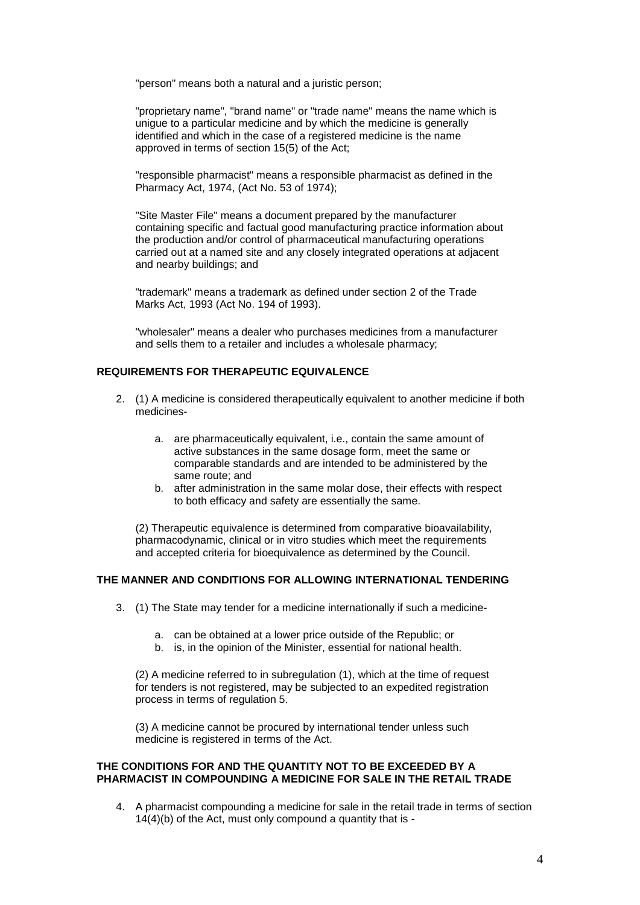"person" means both a natural and a juristic person;

"proprietary name", "brand name" or "trade name" means the name which is unigue to a particular medicine and by which the medicine is generally identified and which in the case of a registered medicine is the name approved in terms of section 15(5) of the Act;

"responsible pharmacist" means a responsible pharmacist as defined in the Pharmacy Act, 1974, (Act No. 53 of 1974);

"Site Master File" means a document prepared by the manufacturer containing specific and factual good manufacturing practice information about the production and/or control of pharmaceutical manufacturing operations carried out at a named site and any closely integrated operations at adjacent and nearby buildings; and

"trademark" means a trademark as defined under section 2 of the Trade Marks Act, 1993 (Act No. 194 of 1993).

"wholesaler" means a dealer who purchases medicines from a manufacturer and sells them to a retailer and includes a wholesale pharmacy;

## **REQUIREMENTS FOR THERAPEUTIC EQUIVALENCE**

- 2. (1) A medicine is considered therapeutically equivalent to another medicine if both medicines
	- a. are pharmaceutically equivalent, i.e., contain the same amount of active substances in the same dosage form, meet the same or comparable standards and are intended to be administered by the same route; and
	- b. after administration in the same molar dose, their effects with respect to both efficacy and safety are essentially the same.

(2) Therapeutic equivalence is determined from comparative bioavailability, pharmacodynamic, clinical or in vitro studies which meet the requirements and accepted criteria for bioequivalence as determined by the Council.

# **THE MANNER AND CONDITIONS FOR ALLOWING INTERNATIONAL TENDERING**

- 3. (1) The State may tender for a medicine internationally if such a medicine
	- a. can be obtained at a lower price outside of the Republic; or
	- b. is, in the opinion of the Minister, essential for national health.

(2) A medicine referred to in subregulation (1), which at the time of request for tenders is not registered, may be subjected to an expedited registration process in terms of regulation 5.

(3) A medicine cannot be procured by international tender unless such medicine is registered in terms of the Act.

#### **THE CONDITIONS FOR AND THE QUANTITY NOT TO BE EXCEEDED BY A PHARMACIST IN COMPOUNDING A MEDICINE FOR SALE IN THE RETAIL TRADE**

4. A pharmacist compounding a medicine for sale in the retail trade in terms of section 14(4)(b) of the Act, must only compound a quantity that is -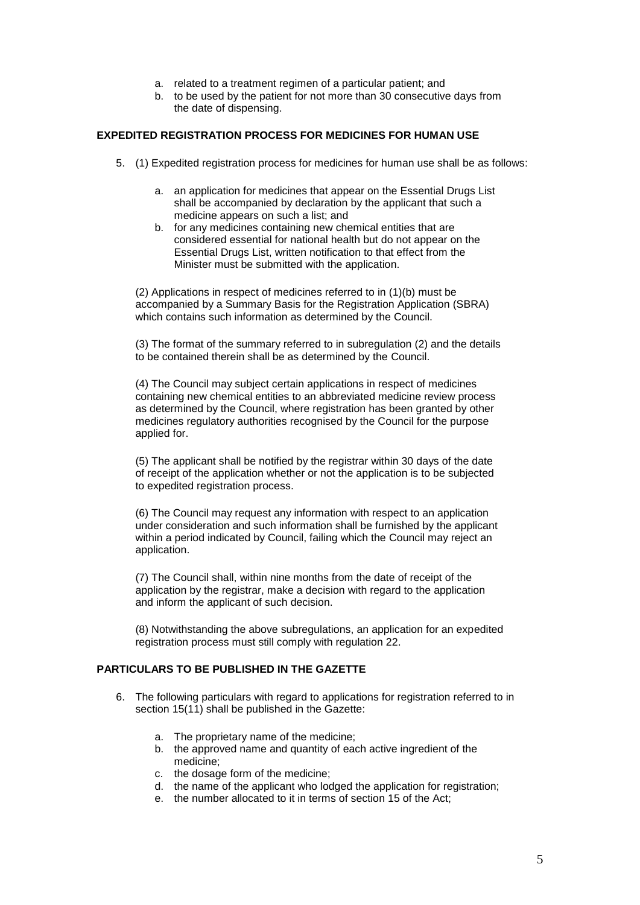- a. related to a treatment regimen of a particular patient; and
- b. to be used by the patient for not more than 30 consecutive days from the date of dispensing.

### **EXPEDITED REGISTRATION PROCESS FOR MEDICINES FOR HUMAN USE**

- 5. (1) Expedited registration process for medicines for human use shall be as follows:
	- a. an application for medicines that appear on the Essential Drugs List shall be accompanied by declaration by the applicant that such a medicine appears on such a list; and
	- b. for any medicines containing new chemical entities that are considered essential for national health but do not appear on the Essential Drugs List, written notification to that effect from the Minister must be submitted with the application.

(2) Applications in respect of medicines referred to in (1)(b) must be accompanied by a Summary Basis for the Registration Application (SBRA) which contains such information as determined by the Council.

(3) The format of the summary referred to in subregulation (2) and the details to be contained therein shall be as determined by the Council.

(4) The Council may subject certain applications in respect of medicines containing new chemical entities to an abbreviated medicine review process as determined by the Council, where registration has been granted by other medicines regulatory authorities recognised by the Council for the purpose applied for.

(5) The applicant shall be notified by the registrar within 30 days of the date of receipt of the application whether or not the application is to be subjected to expedited registration process.

(6) The Council may request any information with respect to an application under consideration and such information shall be furnished by the applicant within a period indicated by Council, failing which the Council may reject an application.

(7) The Council shall, within nine months from the date of receipt of the application by the registrar, make a decision with regard to the application and inform the applicant of such decision.

(8) Notwithstanding the above subregulations, an application for an expedited registration process must still comply with regulation 22.

### **PARTICULARS TO BE PUBLISHED IN THE GAZETTE**

- 6. The following particulars with regard to applications for registration referred to in section 15(11) shall be published in the Gazette:
	- a. The proprietary name of the medicine;
	- b. the approved name and quantity of each active ingredient of the medicine;
	- c. the dosage form of the medicine;
	- d. the name of the applicant who lodged the application for registration;
	- e. the number allocated to it in terms of section 15 of the Act;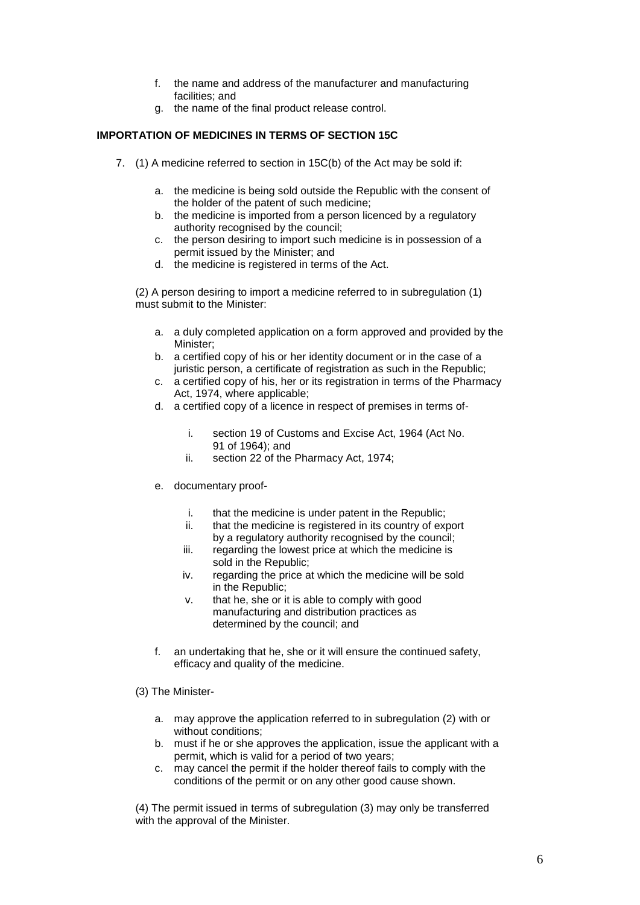- f. the name and address of the manufacturer and manufacturing facilities; and
- g. the name of the final product release control.

# **IMPORTATION OF MEDICINES IN TERMS OF SECTION 15C**

- 7. (1) A medicine referred to section in 15C(b) of the Act may be sold if:
	- a. the medicine is being sold outside the Republic with the consent of the holder of the patent of such medicine;
	- b. the medicine is imported from a person licenced by a regulatory authority recognised by the council;
	- c. the person desiring to import such medicine is in possession of a permit issued by the Minister; and
	- d. the medicine is registered in terms of the Act.

(2) A person desiring to import a medicine referred to in subregulation (1) must submit to the Minister:

- a. a duly completed application on a form approved and provided by the Minister;
- b. a certified copy of his or her identity document or in the case of a juristic person, a certificate of registration as such in the Republic;
- c. a certified copy of his, her or its registration in terms of the Pharmacy Act, 1974, where applicable;
- d. a certified copy of a licence in respect of premises in terms of
	- i. section 19 of Customs and Excise Act, 1964 (Act No. 91 of 1964); and
	- ii. section 22 of the Pharmacy Act, 1974;
- e. documentary proof
	- i. that the medicine is under patent in the Republic;
	- ii. that the medicine is registered in its country of export by a regulatory authority recognised by the council;
	- iii. regarding the lowest price at which the medicine is sold in the Republic;
	- iv. regarding the price at which the medicine will be sold in the Republic;
	- v. that he, she or it is able to comply with good manufacturing and distribution practices as determined by the council; and
- f. an undertaking that he, she or it will ensure the continued safety, efficacy and quality of the medicine.
- (3) The Minister
	- a. may approve the application referred to in subregulation (2) with or without conditions;
	- b. must if he or she approves the application, issue the applicant with a permit, which is valid for a period of two years;
	- c. may cancel the permit if the holder thereof fails to comply with the conditions of the permit or on any other good cause shown.

(4) The permit issued in terms of subregulation (3) may only be transferred with the approval of the Minister.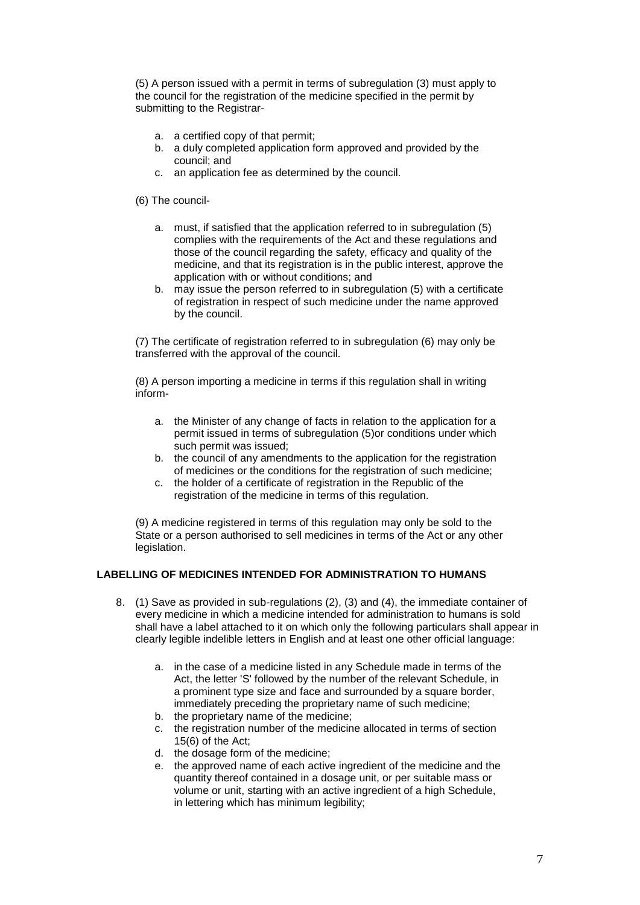(5) A person issued with a permit in terms of subregulation (3) must apply to the council for the registration of the medicine specified in the permit by submitting to the Registrar-

- a. a certified copy of that permit;
- b. a duly completed application form approved and provided by the council; and
- c. an application fee as determined by the council.

(6) The council-

- a. must, if satisfied that the application referred to in subregulation (5) complies with the requirements of the Act and these regulations and those of the council regarding the safety, efficacy and quality of the medicine, and that its registration is in the public interest, approve the application with or without conditions; and
- b. may issue the person referred to in subregulation (5) with a certificate of registration in respect of such medicine under the name approved by the council.

(7) The certificate of registration referred to in subregulation (6) may only be transferred with the approval of the council.

(8) A person importing a medicine in terms if this regulation shall in writing inform-

- a. the Minister of any change of facts in relation to the application for a permit issued in terms of subregulation (5)or conditions under which such permit was issued;
- b. the council of any amendments to the application for the registration of medicines or the conditions for the registration of such medicine;
- c. the holder of a certificate of registration in the Republic of the registration of the medicine in terms of this regulation.

(9) A medicine registered in terms of this regulation may only be sold to the State or a person authorised to sell medicines in terms of the Act or any other legislation.

# **LABELLING OF MEDICINES INTENDED FOR ADMINISTRATION TO HUMANS**

- 8. (1) Save as provided in sub-regulations (2), (3) and (4), the immediate container of every medicine in which a medicine intended for administration to humans is sold shall have a label attached to it on which only the following particulars shall appear in clearly legible indelible letters in English and at least one other official language:
	- a. in the case of a medicine listed in any Schedule made in terms of the Act, the letter 'S' followed by the number of the relevant Schedule, in a prominent type size and face and surrounded by a square border, immediately preceding the proprietary name of such medicine;
	- b. the proprietary name of the medicine;
	- c. the registration number of the medicine allocated in terms of section 15(6) of the Act;
	- d. the dosage form of the medicine;
	- e. the approved name of each active ingredient of the medicine and the quantity thereof contained in a dosage unit, or per suitable mass or volume or unit, starting with an active ingredient of a high Schedule, in lettering which has minimum legibility;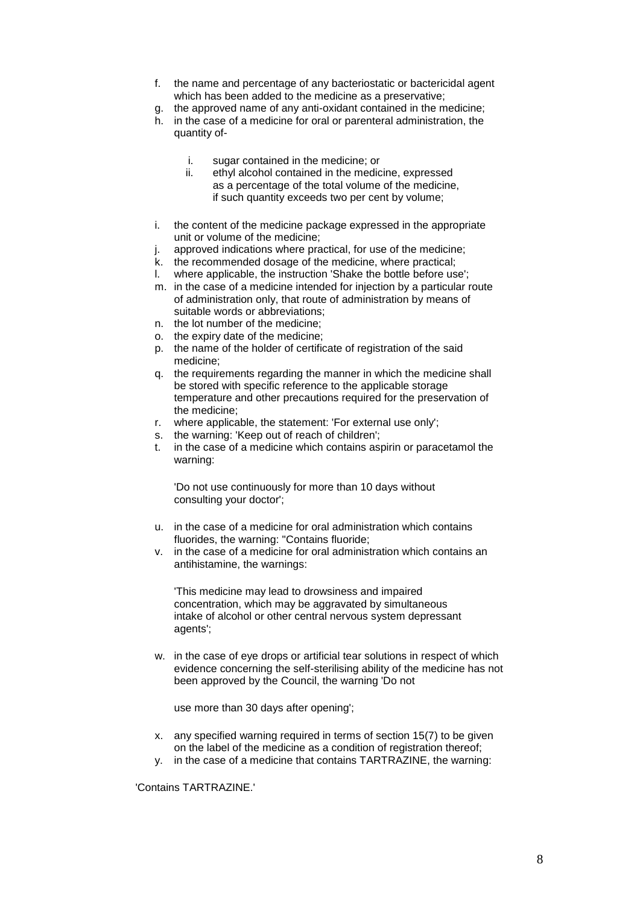- f. the name and percentage of any bacteriostatic or bactericidal agent which has been added to the medicine as a preservative;
- g. the approved name of any anti-oxidant contained in the medicine;
- h. in the case of a medicine for oral or parenteral administration, the quantity of
	- i. sugar contained in the medicine; or
	- ii. ethyl alcohol contained in the medicine, expressed as a percentage of the total volume of the medicine, if such quantity exceeds two per cent by volume;
- i. the content of the medicine package expressed in the appropriate unit or volume of the medicine;
- j. approved indications where practical, for use of the medicine;
- k. the recommended dosage of the medicine, where practical;
- l. where applicable, the instruction 'Shake the bottle before use';
- m. in the case of a medicine intended for injection by a particular route of administration only, that route of administration by means of suitable words or abbreviations;
- n. the lot number of the medicine;
- o. the expiry date of the medicine;
- p. the name of the holder of certificate of registration of the said medicine;
- q. the requirements regarding the manner in which the medicine shall be stored with specific reference to the applicable storage temperature and other precautions required for the preservation of the medicine;
- r. where applicable, the statement: 'For external use only';
- s. the warning: 'Keep out of reach of children';
- t. in the case of a medicine which contains aspirin or paracetamol the warning:

'Do not use continuously for more than 10 days without consulting your doctor';

- u. in the case of a medicine for oral administration which contains fluorides, the warning: "Contains fluoride;
- v. in the case of a medicine for oral administration which contains an antihistamine, the warnings:

'This medicine may lead to drowsiness and impaired concentration, which may be aggravated by simultaneous intake of alcohol or other central nervous system depressant agents';

w. in the case of eye drops or artificial tear solutions in respect of which evidence concerning the self-sterilising ability of the medicine has not been approved by the Council, the warning 'Do not

use more than 30 days after opening';

- x. any specified warning required in terms of section 15(7) to be given on the label of the medicine as a condition of registration thereof;
- y. in the case of a medicine that contains TARTRAZINE, the warning:

'Contains TARTRAZINE.'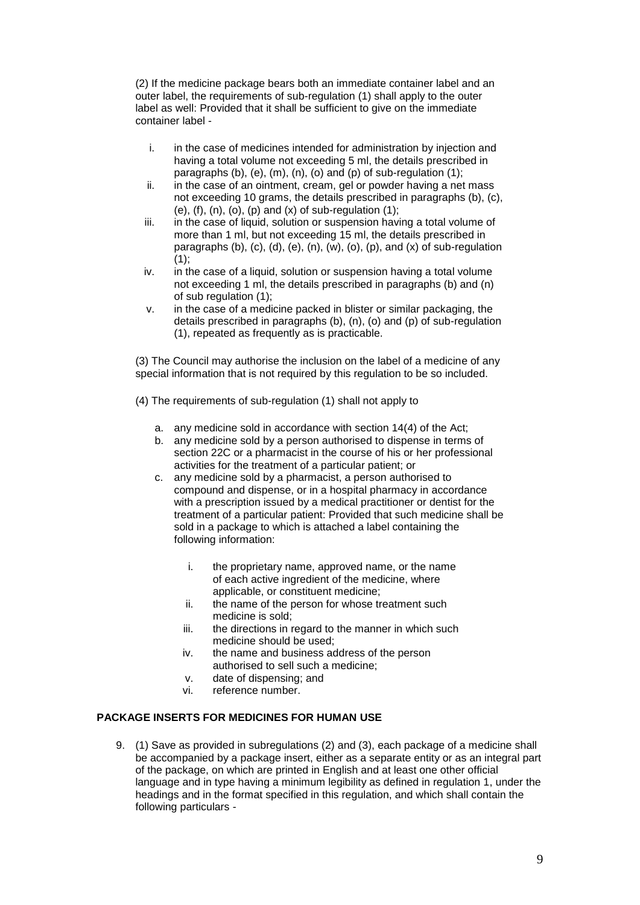(2) If the medicine package bears both an immediate container label and an outer label, the requirements of sub-regulation (1) shall apply to the outer label as well: Provided that it shall be sufficient to give on the immediate container label -

- i. in the case of medicines intended for administration by injection and having a total volume not exceeding 5 ml, the details prescribed in paragraphs (b), (e), (m), (n), (o) and (p) of sub-regulation  $(1)$ ;
- ii. in the case of an ointment, cream, gel or powder having a net mass not exceeding 10 grams, the details prescribed in paragraphs (b), (c), (e),  $(f)$ ,  $(n)$ ,  $(o)$ ,  $(p)$  and  $(x)$  of sub-regulation  $(1)$ ;
- iii. in the case of liquid, solution or suspension having a total volume of more than 1 ml, but not exceeding 15 ml, the details prescribed in paragraphs (b), (c), (d), (e), (n), (w), (o), (p), and (x) of sub-regulation  $(1)$ :
- iv. in the case of a liquid, solution or suspension having a total volume not exceeding 1 ml, the details prescribed in paragraphs (b) and (n) of sub regulation (1);
- v. in the case of a medicine packed in blister or similar packaging, the details prescribed in paragraphs (b), (n), (o) and (p) of sub-regulation (1), repeated as frequently as is practicable.

(3) The Council may authorise the inclusion on the label of a medicine of any special information that is not required by this regulation to be so included.

- (4) The requirements of sub-regulation (1) shall not apply to
	- a. any medicine sold in accordance with section 14(4) of the Act;
	- b. any medicine sold by a person authorised to dispense in terms of section 22C or a pharmacist in the course of his or her professional activities for the treatment of a particular patient; or
	- c. any medicine sold by a pharmacist, a person authorised to compound and dispense, or in a hospital pharmacy in accordance with a prescription issued by a medical practitioner or dentist for the treatment of a particular patient: Provided that such medicine shall be sold in a package to which is attached a label containing the following information:
		- i. the proprietary name, approved name, or the name of each active ingredient of the medicine, where applicable, or constituent medicine;
		- ii. the name of the person for whose treatment such medicine is sold;
		- iii. the directions in regard to the manner in which such medicine should be used;
		- iv. the name and business address of the person authorised to sell such a medicine;
		- v. date of dispensing; and
		- vi. reference number.

# **PACKAGE INSERTS FOR MEDICINES FOR HUMAN USE**

9. (1) Save as provided in subregulations (2) and (3), each package of a medicine shall be accompanied by a package insert, either as a separate entity or as an integral part of the package, on which are printed in English and at least one other official language and in type having a minimum legibility as defined in regulation 1, under the headings and in the format specified in this regulation, and which shall contain the following particulars -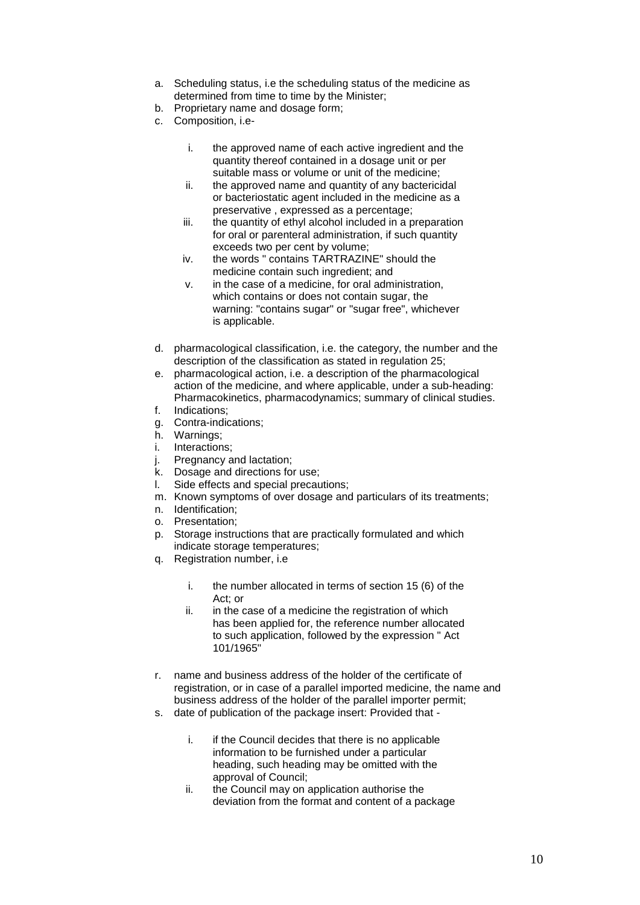- a. Scheduling status, i.e the scheduling status of the medicine as determined from time to time by the Minister;
- b. Proprietary name and dosage form;
- c. Composition, i.e
	- i. the approved name of each active ingredient and the quantity thereof contained in a dosage unit or per suitable mass or volume or unit of the medicine;
	- ii. the approved name and quantity of any bactericidal or bacteriostatic agent included in the medicine as a preservative , expressed as a percentage;
	- iii. the quantity of ethyl alcohol included in a preparation for oral or parenteral administration, if such quantity exceeds two per cent by volume;
	- iv. the words " contains TARTRAZINE" should the medicine contain such ingredient; and
	- v. in the case of a medicine, for oral administration, which contains or does not contain sugar, the warning: "contains sugar" or "sugar free", whichever is applicable.
- d. pharmacological classification, i.e. the category, the number and the description of the classification as stated in regulation 25;
- e. pharmacological action, i.e. a description of the pharmacological action of the medicine, and where applicable, under a sub-heading: Pharmacokinetics, pharmacodynamics; summary of clinical studies.
- f. Indications;
- g. Contra-indications;
- h. Warnings;
- i. Interactions;
- j. Pregnancy and lactation;
- k. Dosage and directions for use;
- l. Side effects and special precautions;
- m. Known symptoms of over dosage and particulars of its treatments;
- n. Identification;
- o. Presentation;
- p. Storage instructions that are practically formulated and which indicate storage temperatures;
- q. Registration number, i.e
	- i. the number allocated in terms of section 15 (6) of the Act; or
	- ii. in the case of a medicine the registration of which has been applied for, the reference number allocated to such application, followed by the expression " Act 101/1965"
- r. name and business address of the holder of the certificate of registration, or in case of a parallel imported medicine, the name and business address of the holder of the parallel importer permit;
- s. date of publication of the package insert: Provided that
	- i. if the Council decides that there is no applicable information to be furnished under a particular heading, such heading may be omitted with the approval of Council;
	- ii. the Council may on application authorise the deviation from the format and content of a package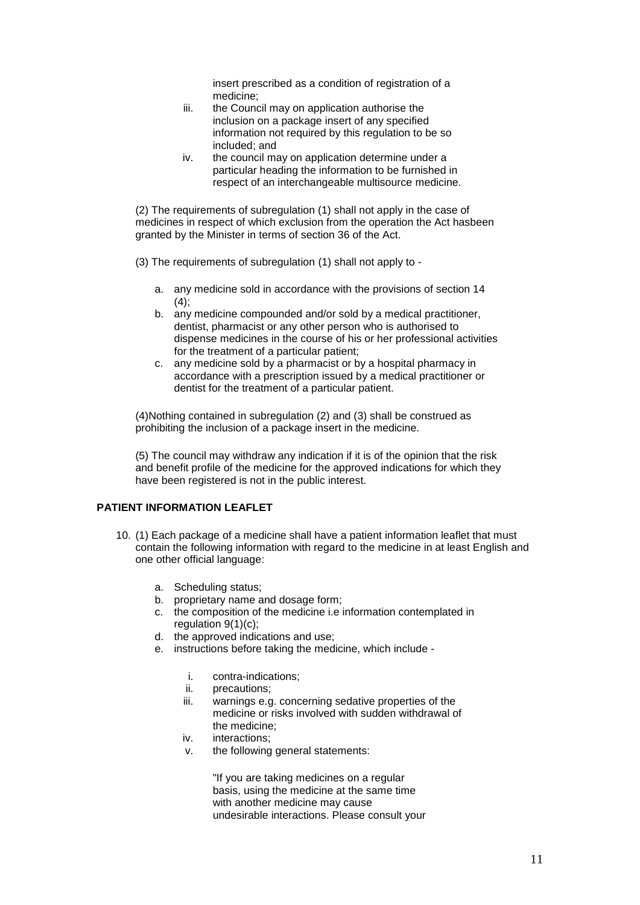insert prescribed as a condition of registration of a medicine;

- iii. the Council may on application authorise the inclusion on a package insert of any specified information not required by this regulation to be so included; and
- iv. the council may on application determine under a particular heading the information to be furnished in respect of an interchangeable multisource medicine.

(2) The requirements of subregulation (1) shall not apply in the case of medicines in respect of which exclusion from the operation the Act hasbeen granted by the Minister in terms of section 36 of the Act.

(3) The requirements of subregulation (1) shall not apply to -

- a. any medicine sold in accordance with the provisions of section 14  $(4)$ :
- b. any medicine compounded and/or sold by a medical practitioner. dentist, pharmacist or any other person who is authorised to dispense medicines in the course of his or her professional activities for the treatment of a particular patient;
- c. any medicine sold by a pharmacist or by a hospital pharmacy in accordance with a prescription issued by a medical practitioner or dentist for the treatment of a particular patient.

(4)Nothing contained in subregulation (2) and (3) shall be construed as prohibiting the inclusion of a package insert in the medicine.

(5) The council may withdraw any indication if it is of the opinion that the risk and benefit profile of the medicine for the approved indications for which they have been registered is not in the public interest.

# **PATIENT INFORMATION LEAFLET**

- 10. (1) Each package of a medicine shall have a patient information leaflet that must contain the following information with regard to the medicine in at least English and one other official language:
	- a. Scheduling status;
	- b. proprietary name and dosage form;
	- c. the composition of the medicine i.e information contemplated in regulation 9(1)(c);
	- d. the approved indications and use;
	- e. instructions before taking the medicine, which include
		- i. contra-indications;
		- ii. precautions;
		- iii. warnings e.g. concerning sedative properties of the medicine or risks involved with sudden withdrawal of the medicine;
		- iv. interactions;
		- v. the following general statements:

"If you are taking medicines on a regular basis, using the medicine at the same time with another medicine may cause undesirable interactions. Please consult your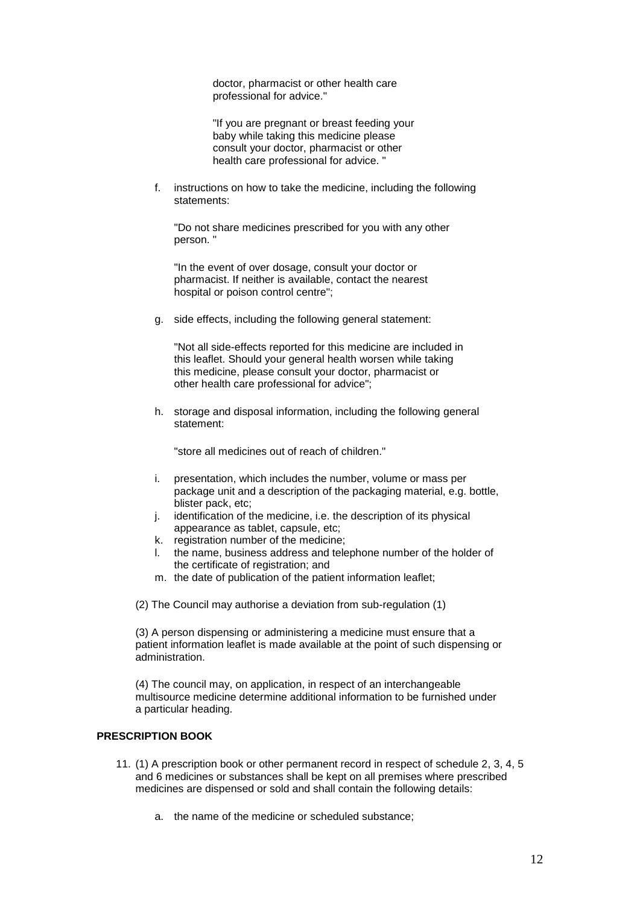doctor, pharmacist or other health care professional for advice."

"If you are pregnant or breast feeding your baby while taking this medicine please consult your doctor, pharmacist or other health care professional for advice. "

f. instructions on how to take the medicine, including the following statements:

"Do not share medicines prescribed for you with any other person. "

"In the event of over dosage, consult your doctor or pharmacist. If neither is available, contact the nearest hospital or poison control centre";

g. side effects, including the following general statement:

"Not all side-effects reported for this medicine are included in this leaflet. Should your general health worsen while taking this medicine, please consult your doctor, pharmacist or other health care professional for advice";

h. storage and disposal information, including the following general statement:

"store all medicines out of reach of children."

- i. presentation, which includes the number, volume or mass per package unit and a description of the packaging material, e.g. bottle, blister pack, etc;
- j. identification of the medicine, i.e. the description of its physical appearance as tablet, capsule, etc;
- k. registration number of the medicine;
- l. the name, business address and telephone number of the holder of the certificate of registration; and
- m. the date of publication of the patient information leaflet;

(2) The Council may authorise a deviation from sub-regulation (1)

(3) A person dispensing or administering a medicine must ensure that a patient information leaflet is made available at the point of such dispensing or administration.

(4) The council may, on application, in respect of an interchangeable multisource medicine determine additional information to be furnished under a particular heading.

# **PRESCRIPTION BOOK**

- 11. (1) A prescription book or other permanent record in respect of schedule 2, 3, 4, 5 and 6 medicines or substances shall be kept on all premises where prescribed medicines are dispensed or sold and shall contain the following details:
	- a. the name of the medicine or scheduled substance;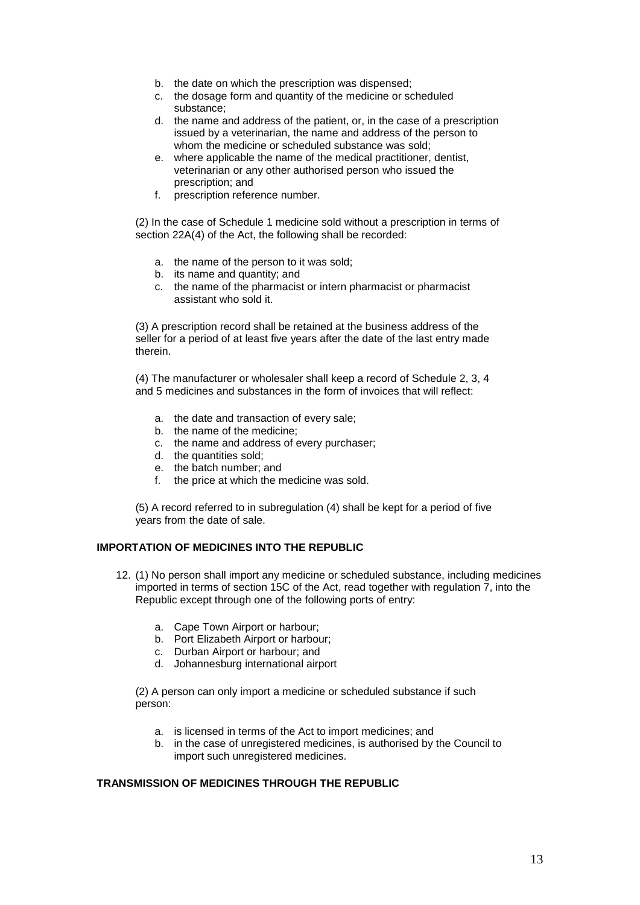- b. the date on which the prescription was dispensed;
- c. the dosage form and quantity of the medicine or scheduled substance;
- d. the name and address of the patient, or, in the case of a prescription issued by a veterinarian, the name and address of the person to whom the medicine or scheduled substance was sold;
- e. where applicable the name of the medical practitioner, dentist, veterinarian or any other authorised person who issued the prescription; and
- f. prescription reference number.

(2) In the case of Schedule 1 medicine sold without a prescription in terms of section 22A(4) of the Act, the following shall be recorded:

- a. the name of the person to it was sold;
- b. its name and quantity; and
- c. the name of the pharmacist or intern pharmacist or pharmacist assistant who sold it.

(3) A prescription record shall be retained at the business address of the seller for a period of at least five years after the date of the last entry made therein.

(4) The manufacturer or wholesaler shall keep a record of Schedule 2, 3, 4 and 5 medicines and substances in the form of invoices that will reflect:

- a. the date and transaction of every sale;
- b. the name of the medicine;
- c. the name and address of every purchaser;
- d. the quantities sold;
- e. the batch number; and
- f. the price at which the medicine was sold.

(5) A record referred to in subregulation (4) shall be kept for a period of five years from the date of sale.

# **IMPORTATION OF MEDICINES INTO THE REPUBLIC**

- 12. (1) No person shall import any medicine or scheduled substance, including medicines imported in terms of section 15C of the Act, read together with regulation 7, into the Republic except through one of the following ports of entry:
	- a. Cape Town Airport or harbour;
	- b. Port Elizabeth Airport or harbour;
	- c. Durban Airport or harbour; and
	- d. Johannesburg international airport

(2) A person can only import a medicine or scheduled substance if such person:

- a. is licensed in terms of the Act to import medicines; and
- b. in the case of unregistered medicines, is authorised by the Council to import such unregistered medicines.

# **TRANSMISSION OF MEDICINES THROUGH THE REPUBLIC**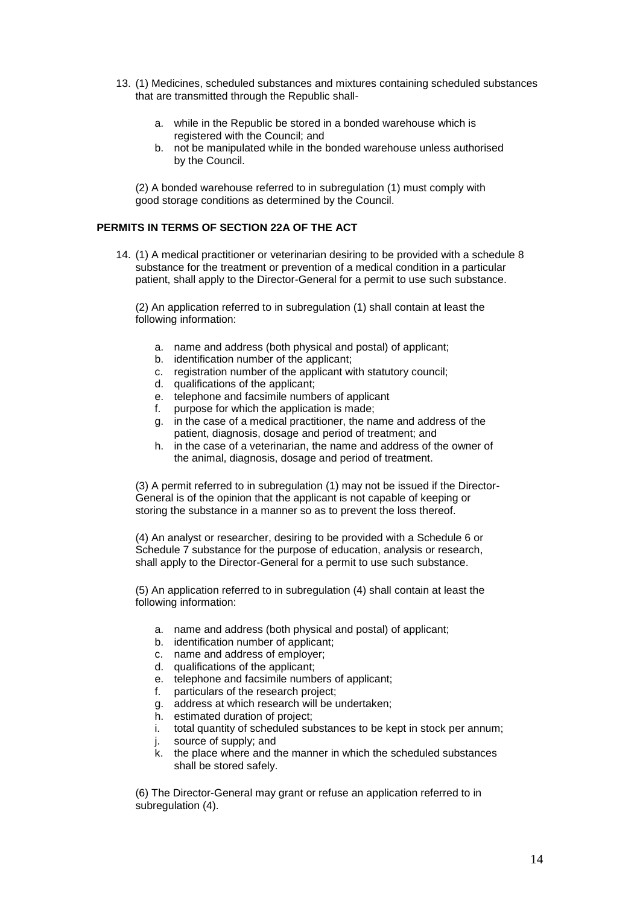- 13. (1) Medicines, scheduled substances and mixtures containing scheduled substances that are transmitted through the Republic shall
	- a. while in the Republic be stored in a bonded warehouse which is registered with the Council; and
	- b. not be manipulated while in the bonded warehouse unless authorised by the Council.

(2) A bonded warehouse referred to in subregulation (1) must comply with good storage conditions as determined by the Council.

# **PERMITS IN TERMS OF SECTION 22A OF THE ACT**

14. (1) A medical practitioner or veterinarian desiring to be provided with a schedule 8 substance for the treatment or prevention of a medical condition in a particular patient, shall apply to the Director-General for a permit to use such substance.

(2) An application referred to in subregulation (1) shall contain at least the following information:

- a. name and address (both physical and postal) of applicant;
- b. identification number of the applicant;
- c. registration number of the applicant with statutory council;
- d. qualifications of the applicant;
- e. telephone and facsimile numbers of applicant
- f. purpose for which the application is made;
- g. in the case of a medical practitioner, the name and address of the patient, diagnosis, dosage and period of treatment; and
- h. in the case of a veterinarian, the name and address of the owner of the animal, diagnosis, dosage and period of treatment.

(3) A permit referred to in subregulation (1) may not be issued if the Director-General is of the opinion that the applicant is not capable of keeping or storing the substance in a manner so as to prevent the loss thereof.

(4) An analyst or researcher, desiring to be provided with a Schedule 6 or Schedule 7 substance for the purpose of education, analysis or research, shall apply to the Director-General for a permit to use such substance.

(5) An application referred to in subregulation (4) shall contain at least the following information:

- a. name and address (both physical and postal) of applicant;
- b. identification number of applicant;
- c. name and address of employer;
- d. qualifications of the applicant;
- e. telephone and facsimile numbers of applicant;
- f. particulars of the research project;
- g. address at which research will be undertaken;
- h. estimated duration of project;
- i. total quantity of scheduled substances to be kept in stock per annum;
- j. source of supply; and
- k. the place where and the manner in which the scheduled substances shall be stored safely.

(6) The Director-General may grant or refuse an application referred to in subregulation (4).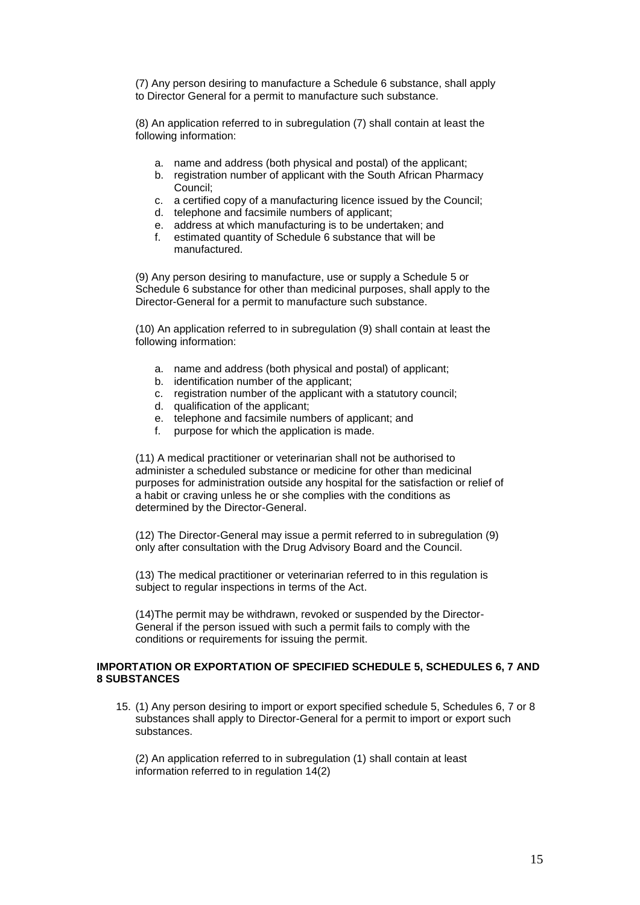(7) Any person desiring to manufacture a Schedule 6 substance, shall apply to Director General for a permit to manufacture such substance.

(8) An application referred to in subregulation (7) shall contain at least the following information:

- a. name and address (both physical and postal) of the applicant;
- b. registration number of applicant with the South African Pharmacy Council;
- c. a certified copy of a manufacturing licence issued by the Council;
- d. telephone and facsimile numbers of applicant;
- e. address at which manufacturing is to be undertaken; and
- f. estimated quantity of Schedule 6 substance that will be manufactured.

(9) Any person desiring to manufacture, use or supply a Schedule 5 or Schedule 6 substance for other than medicinal purposes, shall apply to the Director-General for a permit to manufacture such substance.

(10) An application referred to in subregulation (9) shall contain at least the following information:

- a. name and address (both physical and postal) of applicant;
- b. identification number of the applicant;
- c. registration number of the applicant with a statutory council;
- d. qualification of the applicant;
- e. telephone and facsimile numbers of applicant; and
- f. purpose for which the application is made.

(11) A medical practitioner or veterinarian shall not be authorised to administer a scheduled substance or medicine for other than medicinal purposes for administration outside any hospital for the satisfaction or relief of a habit or craving unless he or she complies with the conditions as determined by the Director-General.

(12) The Director-General may issue a permit referred to in subregulation (9) only after consultation with the Drug Advisory Board and the Council.

(13) The medical practitioner or veterinarian referred to in this regulation is subject to regular inspections in terms of the Act.

(14)The permit may be withdrawn, revoked or suspended by the Director-General if the person issued with such a permit fails to comply with the conditions or requirements for issuing the permit.

#### **IMPORTATION OR EXPORTATION OF SPECIFIED SCHEDULE 5, SCHEDULES 6, 7 AND 8 SUBSTANCES**

15. (1) Any person desiring to import or export specified schedule 5, Schedules 6, 7 or 8 substances shall apply to Director-General for a permit to import or export such substances.

(2) An application referred to in subregulation (1) shall contain at least information referred to in regulation 14(2)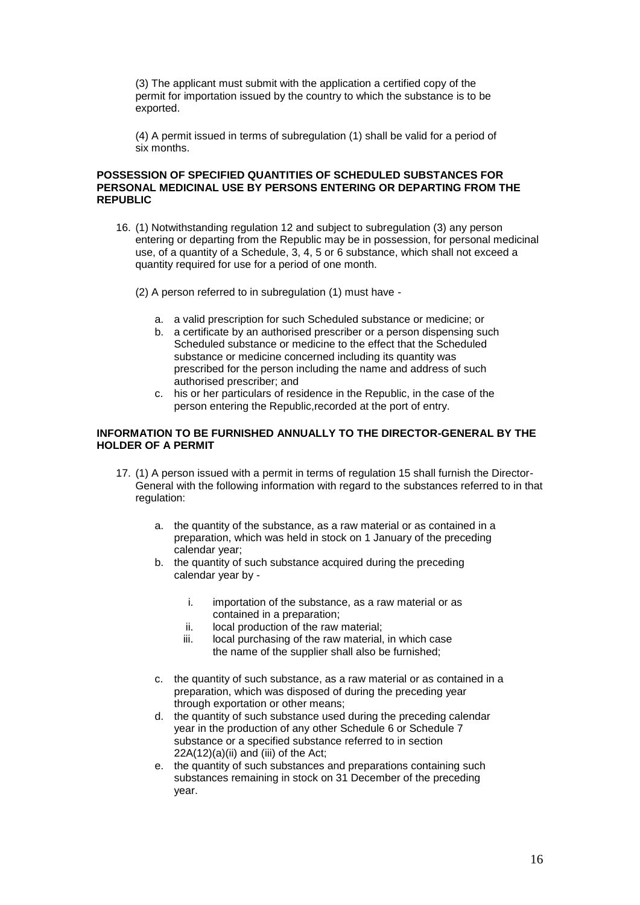(3) The applicant must submit with the application a certified copy of the permit for importation issued by the country to which the substance is to be exported.

(4) A permit issued in terms of subregulation (1) shall be valid for a period of six months.

## **POSSESSION OF SPECIFIED QUANTITIES OF SCHEDULED SUBSTANCES FOR PERSONAL MEDICINAL USE BY PERSONS ENTERING OR DEPARTING FROM THE REPUBLIC**

16. (1) Notwithstanding regulation 12 and subject to subregulation (3) any person entering or departing from the Republic may be in possession, for personal medicinal use, of a quantity of a Schedule, 3, 4, 5 or 6 substance, which shall not exceed a quantity required for use for a period of one month.

(2) A person referred to in subregulation (1) must have -

- a. a valid prescription for such Scheduled substance or medicine; or
- b. a certificate by an authorised prescriber or a person dispensing such Scheduled substance or medicine to the effect that the Scheduled substance or medicine concerned including its quantity was prescribed for the person including the name and address of such authorised prescriber; and
- c. his or her particulars of residence in the Republic, in the case of the person entering the Republic,recorded at the port of entry.

# **INFORMATION TO BE FURNISHED ANNUALLY TO THE DIRECTOR-GENERAL BY THE HOLDER OF A PERMIT**

- 17. (1) A person issued with a permit in terms of regulation 15 shall furnish the Director-General with the following information with regard to the substances referred to in that regulation:
	- a. the quantity of the substance, as a raw material or as contained in a preparation, which was held in stock on 1 January of the preceding calendar year;
	- b. the quantity of such substance acquired during the preceding calendar year by
		- i. importation of the substance, as a raw material or as contained in a preparation;
		- ii. local production of the raw material;
		- iii. local purchasing of the raw material, in which case the name of the supplier shall also be furnished;
	- c. the quantity of such substance, as a raw material or as contained in a preparation, which was disposed of during the preceding year through exportation or other means;
	- d. the quantity of such substance used during the preceding calendar year in the production of any other Schedule 6 or Schedule 7 substance or a specified substance referred to in section 22A(12)(a)(ii) and (iii) of the Act;
	- e. the quantity of such substances and preparations containing such substances remaining in stock on 31 December of the preceding year.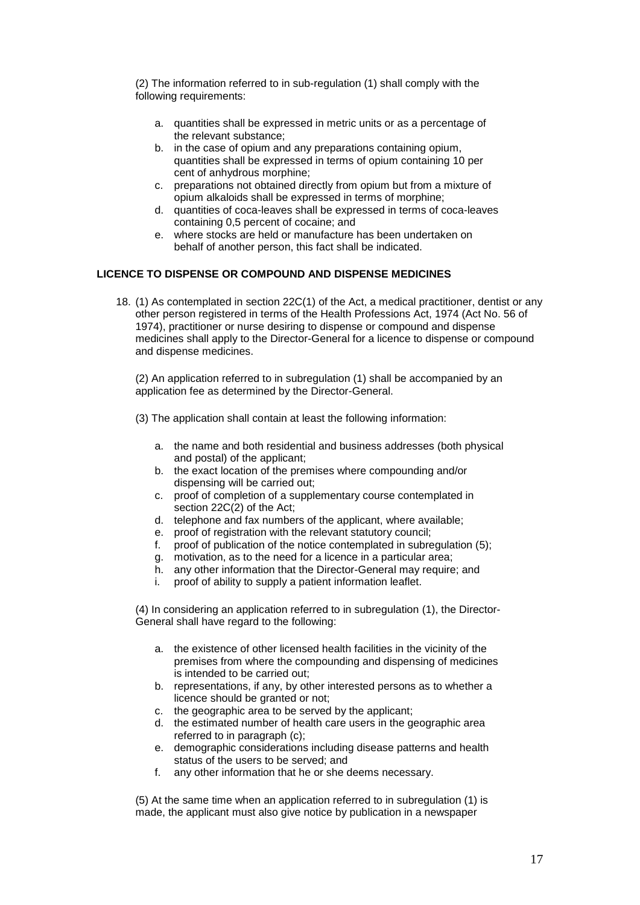(2) The information referred to in sub-regulation (1) shall comply with the following requirements:

- a. quantities shall be expressed in metric units or as a percentage of the relevant substance;
- b. in the case of opium and any preparations containing opium, quantities shall be expressed in terms of opium containing 10 per cent of anhydrous morphine;
- c. preparations not obtained directly from opium but from a mixture of opium alkaloids shall be expressed in terms of morphine;
- d. quantities of coca-leaves shall be expressed in terms of coca-leaves containing 0,5 percent of cocaine; and
- e. where stocks are held or manufacture has been undertaken on behalf of another person, this fact shall be indicated.

# **LICENCE TO DISPENSE OR COMPOUND AND DISPENSE MEDICINES**

18. (1) As contemplated in section 22C(1) of the Act, a medical practitioner, dentist or any other person registered in terms of the Health Professions Act, 1974 (Act No. 56 of 1974), practitioner or nurse desiring to dispense or compound and dispense medicines shall apply to the Director-General for a licence to dispense or compound and dispense medicines.

(2) An application referred to in subregulation (1) shall be accompanied by an application fee as determined by the Director-General.

- (3) The application shall contain at least the following information:
	- a. the name and both residential and business addresses (both physical and postal) of the applicant;
	- b. the exact location of the premises where compounding and/or dispensing will be carried out;
	- c. proof of completion of a supplementary course contemplated in section 22C(2) of the Act;
	- d. telephone and fax numbers of the applicant, where available;
	- e. proof of registration with the relevant statutory council;
	- f. proof of publication of the notice contemplated in subregulation (5);
	- g. motivation, as to the need for a licence in a particular area;
	- h. any other information that the Director-General may require; and
	- i. proof of ability to supply a patient information leaflet.

(4) In considering an application referred to in subregulation (1), the Director-General shall have regard to the following:

- a. the existence of other licensed health facilities in the vicinity of the premises from where the compounding and dispensing of medicines is intended to be carried out;
- b. representations, if any, by other interested persons as to whether a licence should be granted or not;
- c. the geographic area to be served by the applicant;
- d. the estimated number of health care users in the geographic area referred to in paragraph (c);
- e. demographic considerations including disease patterns and health status of the users to be served; and
- f. any other information that he or she deems necessary.

(5) At the same time when an application referred to in subregulation (1) is made, the applicant must also give notice by publication in a newspaper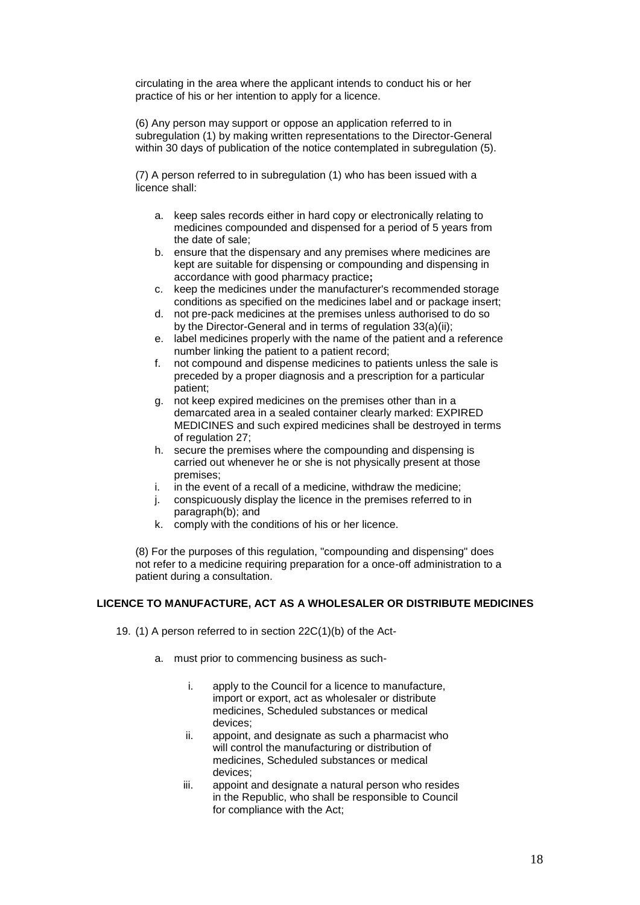circulating in the area where the applicant intends to conduct his or her practice of his or her intention to apply for a licence.

(6) Any person may support or oppose an application referred to in subregulation (1) by making written representations to the Director-General within 30 days of publication of the notice contemplated in subregulation (5).

(7) A person referred to in subregulation (1) who has been issued with a licence shall:

- a. keep sales records either in hard copy or electronically relating to medicines compounded and dispensed for a period of 5 years from the date of sale;
- b. ensure that the dispensary and any premises where medicines are kept are suitable for dispensing or compounding and dispensing in accordance with good pharmacy practice**;**
- c. keep the medicines under the manufacturer's recommended storage conditions as specified on the medicines label and or package insert;
- d. not pre-pack medicines at the premises unless authorised to do so by the Director-General and in terms of regulation 33(a)(ii);
- e. label medicines properly with the name of the patient and a reference number linking the patient to a patient record;
- f. not compound and dispense medicines to patients unless the sale is preceded by a proper diagnosis and a prescription for a particular patient;
- g. not keep expired medicines on the premises other than in a demarcated area in a sealed container clearly marked: EXPIRED MEDICINES and such expired medicines shall be destroyed in terms of regulation 27;
- h. secure the premises where the compounding and dispensing is carried out whenever he or she is not physically present at those premises;
- i. in the event of a recall of a medicine, withdraw the medicine;
- j. conspicuously display the licence in the premises referred to in paragraph(b); and
- k. comply with the conditions of his or her licence.

(8) For the purposes of this regulation, "compounding and dispensing" does not refer to a medicine requiring preparation for a once-off administration to a patient during a consultation.

# **LICENCE TO MANUFACTURE, ACT AS A WHOLESALER OR DISTRIBUTE MEDICINES**

19. (1) A person referred to in section 22C(1)(b) of the Act-

- a. must prior to commencing business as such
	- i. apply to the Council for a licence to manufacture, import or export, act as wholesaler or distribute medicines, Scheduled substances or medical devices;
	- ii. appoint, and designate as such a pharmacist who will control the manufacturing or distribution of medicines, Scheduled substances or medical devices;
	- iii. appoint and designate a natural person who resides in the Republic, who shall be responsible to Council for compliance with the Act;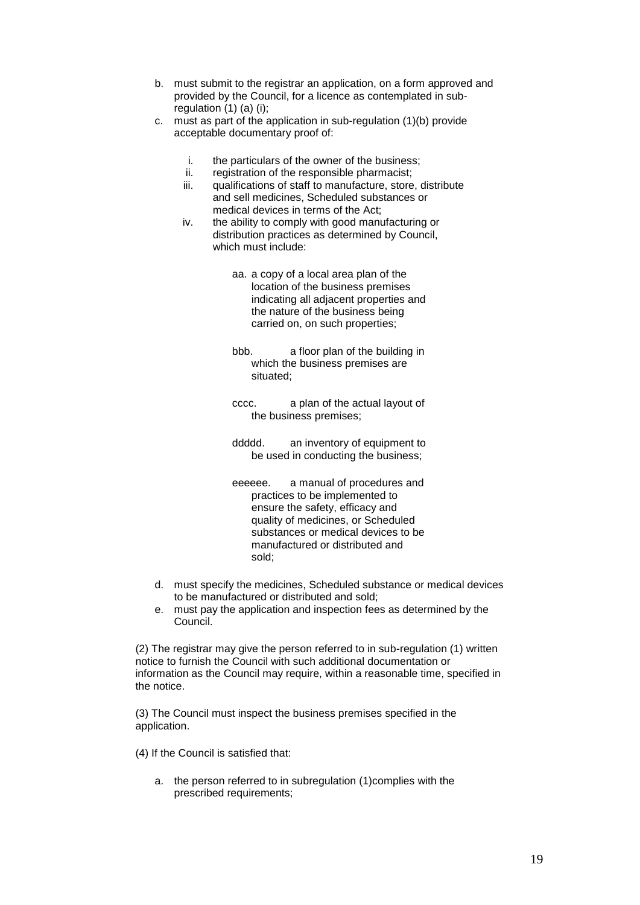- b. must submit to the registrar an application, on a form approved and provided by the Council, for a licence as contemplated in subregulation (1) (a) (i);
- c. must as part of the application in sub-regulation (1)(b) provide acceptable documentary proof of:
	- i. the particulars of the owner of the business;
	- ii. registration of the responsible pharmacist;
	- iii. qualifications of staff to manufacture, store, distribute and sell medicines, Scheduled substances or medical devices in terms of the Act;
	- iv. the ability to comply with good manufacturing or distribution practices as determined by Council, which must include:
		- aa. a copy of a local area plan of the location of the business premises indicating all adjacent properties and the nature of the business being carried on, on such properties;
		- bbb. a floor plan of the building in which the business premises are situated;
		- cccc. a plan of the actual layout of the business premises;
		- ddddd. an inventory of equipment to be used in conducting the business;
		- eeeeee. a manual of procedures and practices to be implemented to ensure the safety, efficacy and quality of medicines, or Scheduled substances or medical devices to be manufactured or distributed and sold;
- d. must specify the medicines, Scheduled substance or medical devices to be manufactured or distributed and sold;
- e. must pay the application and inspection fees as determined by the Council.

(2) The registrar may give the person referred to in sub-regulation (1) written notice to furnish the Council with such additional documentation or information as the Council may require, within a reasonable time, specified in the notice.

(3) The Council must inspect the business premises specified in the application.

(4) If the Council is satisfied that:

a. the person referred to in subregulation (1)complies with the prescribed requirements;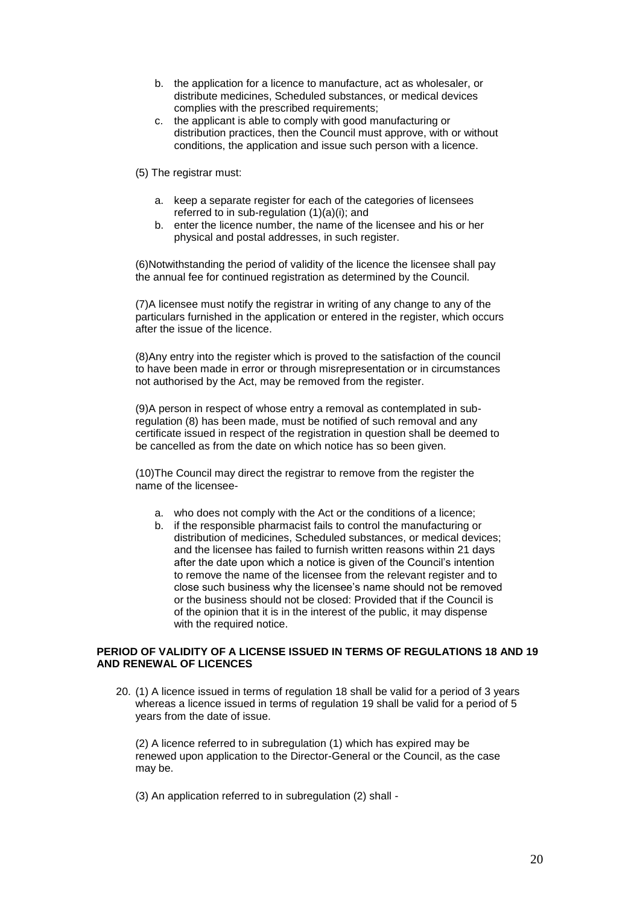- b. the application for a licence to manufacture, act as wholesaler, or distribute medicines, Scheduled substances, or medical devices complies with the prescribed requirements;
- c. the applicant is able to comply with good manufacturing or distribution practices, then the Council must approve, with or without conditions, the application and issue such person with a licence.

(5) The registrar must:

- a. keep a separate register for each of the categories of licensees referred to in sub-regulation (1)(a)(i); and
- b. enter the licence number, the name of the licensee and his or her physical and postal addresses, in such register.

(6)Notwithstanding the period of validity of the licence the licensee shall pay the annual fee for continued registration as determined by the Council.

(7)A licensee must notify the registrar in writing of any change to any of the particulars furnished in the application or entered in the register, which occurs after the issue of the licence.

(8)Any entry into the register which is proved to the satisfaction of the council to have been made in error or through misrepresentation or in circumstances not authorised by the Act, may be removed from the register.

(9)A person in respect of whose entry a removal as contemplated in subregulation (8) has been made, must be notified of such removal and any certificate issued in respect of the registration in question shall be deemed to be cancelled as from the date on which notice has so been given.

(10)The Council may direct the registrar to remove from the register the name of the licensee-

- a. who does not comply with the Act or the conditions of a licence;
- b. if the responsible pharmacist fails to control the manufacturing or distribution of medicines, Scheduled substances, or medical devices; and the licensee has failed to furnish written reasons within 21 days after the date upon which a notice is given of the Council's intention to remove the name of the licensee from the relevant register and to close such business why the licensee's name should not be removed or the business should not be closed: Provided that if the Council is of the opinion that it is in the interest of the public, it may dispense with the required notice.

# **PERIOD OF VALIDITY OF A LICENSE ISSUED IN TERMS OF REGULATIONS 18 AND 19 AND RENEWAL OF LICENCES**

20. (1) A licence issued in terms of regulation 18 shall be valid for a period of 3 years whereas a licence issued in terms of regulation 19 shall be valid for a period of 5 years from the date of issue.

(2) A licence referred to in subregulation (1) which has expired may be renewed upon application to the Director-General or the Council, as the case may be.

(3) An application referred to in subregulation (2) shall -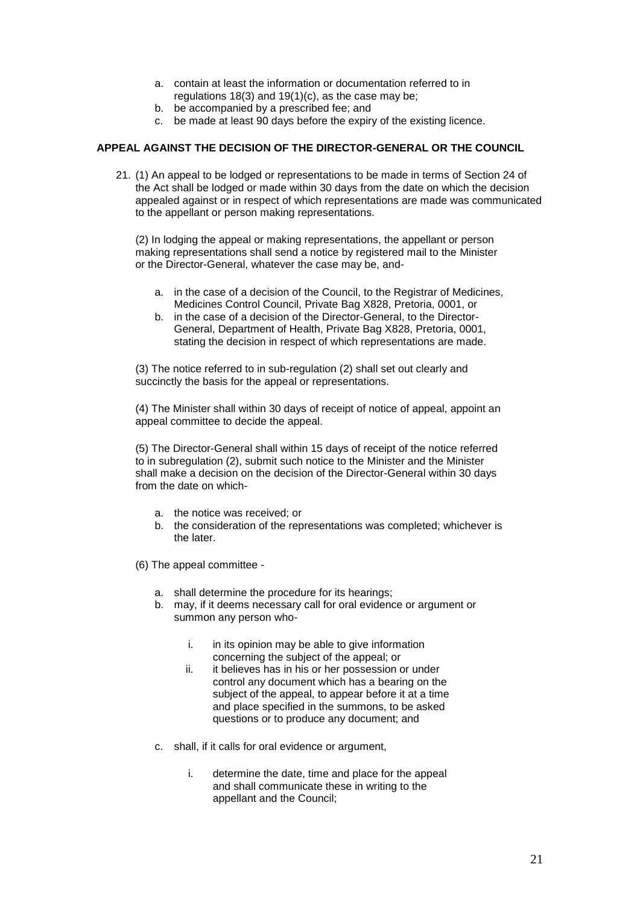- a. contain at least the information or documentation referred to in regulations 18(3) and 19(1)(c), as the case may be;
- b. be accompanied by a prescribed fee; and
- c. be made at least 90 days before the expiry of the existing licence.

# **APPEAL AGAINST THE DECISION OF THE DIRECTOR-GENERAL OR THE COUNCIL**

21. (1) An appeal to be lodged or representations to be made in terms of Section 24 of the Act shall be lodged or made within 30 days from the date on which the decision appealed against or in respect of which representations are made was communicated to the appellant or person making representations.

(2) In lodging the appeal or making representations, the appellant or person making representations shall send a notice by registered mail to the Minister or the Director-General, whatever the case may be, and-

- a. in the case of a decision of the Council, to the Registrar of Medicines, Medicines Control Council, Private Bag X828, Pretoria, 0001, or
- b. in the case of a decision of the Director-General, to the Director-General, Department of Health, Private Bag X828, Pretoria, 0001, stating the decision in respect of which representations are made.

(3) The notice referred to in sub-regulation (2) shall set out clearly and succinctly the basis for the appeal or representations.

(4) The Minister shall within 30 days of receipt of notice of appeal, appoint an appeal committee to decide the appeal.

(5) The Director-General shall within 15 days of receipt of the notice referred to in subregulation (2), submit such notice to the Minister and the Minister shall make a decision on the decision of the Director-General within 30 days from the date on which-

- a. the notice was received; or
- b. the consideration of the representations was completed; whichever is the later.

(6) The appeal committee -

- a. shall determine the procedure for its hearings;
- b. may, if it deems necessary call for oral evidence or argument or summon any person who
	- i. in its opinion may be able to give information concerning the subject of the appeal; or
	- ii. it believes has in his or her possession or under control any document which has a bearing on the subject of the appeal, to appear before it at a time and place specified in the summons, to be asked questions or to produce any document; and
- c. shall, if it calls for oral evidence or argument,
	- i. determine the date, time and place for the appeal and shall communicate these in writing to the appellant and the Council;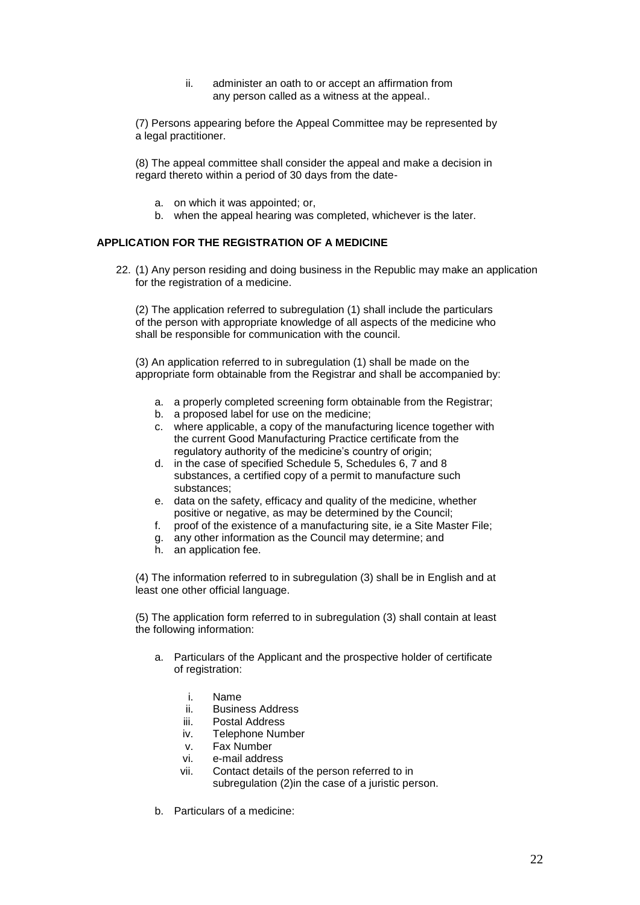ii. administer an oath to or accept an affirmation from any person called as a witness at the appeal..

(7) Persons appearing before the Appeal Committee may be represented by a legal practitioner.

(8) The appeal committee shall consider the appeal and make a decision in regard thereto within a period of 30 days from the date-

- a. on which it was appointed; or,
- b. when the appeal hearing was completed, whichever is the later.

# **APPLICATION FOR THE REGISTRATION OF A MEDICINE**

22. (1) Any person residing and doing business in the Republic may make an application for the registration of a medicine.

(2) The application referred to subregulation (1) shall include the particulars of the person with appropriate knowledge of all aspects of the medicine who shall be responsible for communication with the council.

(3) An application referred to in subregulation (1) shall be made on the appropriate form obtainable from the Registrar and shall be accompanied by:

- a. a properly completed screening form obtainable from the Registrar;
- b. a proposed label for use on the medicine;
- c. where applicable, a copy of the manufacturing licence together with the current Good Manufacturing Practice certificate from the regulatory authority of the medicine's country of origin;
- d. in the case of specified Schedule 5, Schedules 6, 7 and 8 substances, a certified copy of a permit to manufacture such substances;
- e. data on the safety, efficacy and quality of the medicine, whether positive or negative, as may be determined by the Council;
- f. proof of the existence of a manufacturing site, ie a Site Master File;
- g. any other information as the Council may determine; and
- h. an application fee.

(4) The information referred to in subregulation (3) shall be in English and at least one other official language.

(5) The application form referred to in subregulation (3) shall contain at least the following information:

- a. Particulars of the Applicant and the prospective holder of certificate of registration:
	- i. Name
	- ii. Business Address
	- iii. Postal Address
	- iv. Telephone Number
	- v. Fax Number
	- vi. e-mail address
	- vii. Contact details of the person referred to in subregulation (2)in the case of a juristic person.
- b. Particulars of a medicine: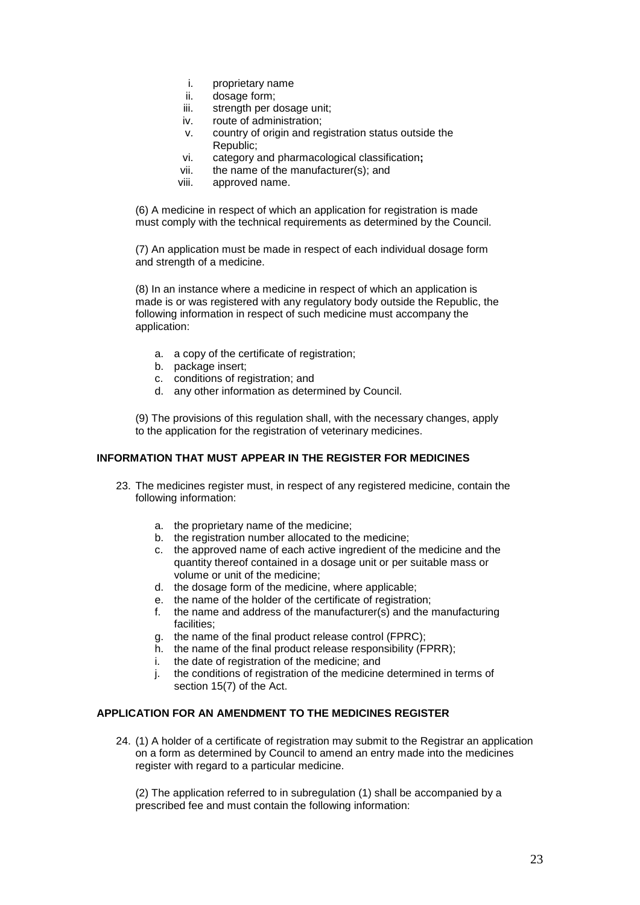- i. proprietary name
- ii. dosage form;
- iii. strength per dosage unit;
- iv. route of administration;
- v. country of origin and registration status outside the Republic;
- vi. category and pharmacological classification**;**
- vii. the name of the manufacturer(s); and
- viii. approved name.

(6) A medicine in respect of which an application for registration is made must comply with the technical requirements as determined by the Council.

(7) An application must be made in respect of each individual dosage form and strength of a medicine.

(8) In an instance where a medicine in respect of which an application is made is or was registered with any regulatory body outside the Republic, the following information in respect of such medicine must accompany the application:

- a. a copy of the certificate of registration;
- b. package insert;
- c. conditions of registration; and
- d. any other information as determined by Council.

(9) The provisions of this regulation shall, with the necessary changes, apply to the application for the registration of veterinary medicines.

# **INFORMATION THAT MUST APPEAR IN THE REGISTER FOR MEDICINES**

- 23. The medicines register must, in respect of any registered medicine, contain the following information:
	- a. the proprietary name of the medicine;
	- b. the registration number allocated to the medicine;
	- c. the approved name of each active ingredient of the medicine and the quantity thereof contained in a dosage unit or per suitable mass or volume or unit of the medicine;
	- d. the dosage form of the medicine, where applicable;
	- e. the name of the holder of the certificate of registration;
	- f. the name and address of the manufacturer(s) and the manufacturing facilities;
	- g. the name of the final product release control (FPRC);
	- h. the name of the final product release responsibility (FPRR);
	- i. the date of registration of the medicine; and
	- j. the conditions of registration of the medicine determined in terms of section 15(7) of the Act.

# **APPLICATION FOR AN AMENDMENT TO THE MEDICINES REGISTER**

24. (1) A holder of a certificate of registration may submit to the Registrar an application on a form as determined by Council to amend an entry made into the medicines register with regard to a particular medicine.

(2) The application referred to in subregulation (1) shall be accompanied by a prescribed fee and must contain the following information: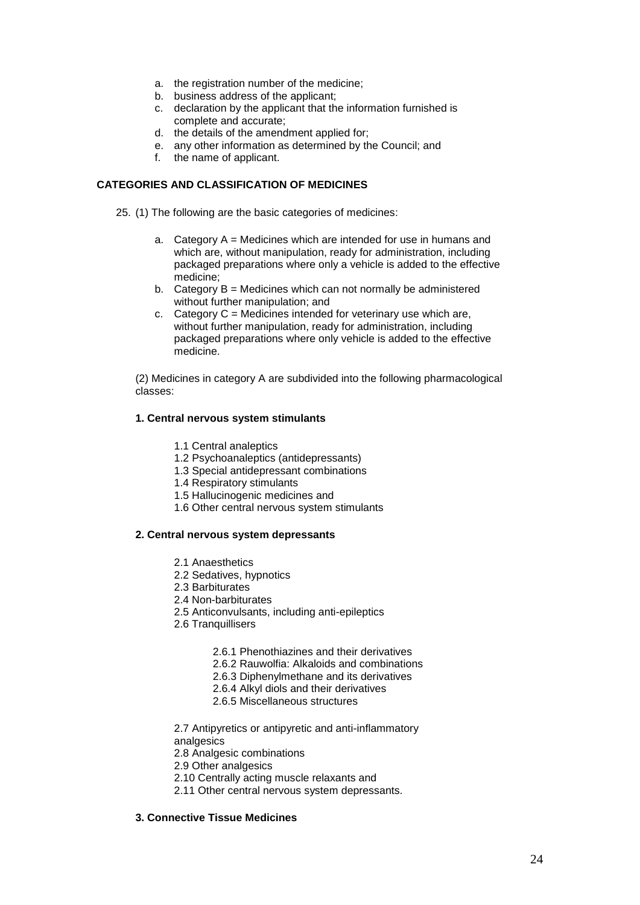- a. the registration number of the medicine;
- b. business address of the applicant;
- c. declaration by the applicant that the information furnished is complete and accurate;
- d. the details of the amendment applied for;
- e. any other information as determined by the Council; and
- f. the name of applicant.

# **CATEGORIES AND CLASSIFICATION OF MEDICINES**

25. (1) The following are the basic categories of medicines:

- a. Category  $A =$  Medicines which are intended for use in humans and which are, without manipulation, ready for administration, including packaged preparations where only a vehicle is added to the effective medicine;
- b. Category B = Medicines which can not normally be administered without further manipulation; and
- c. Category  $C =$  Medicines intended for veterinary use which are, without further manipulation, ready for administration, including packaged preparations where only vehicle is added to the effective medicine.

(2) Medicines in category A are subdivided into the following pharmacological classes:

## **1. Central nervous system stimulants**

- 1.1 Central analeptics
- 1.2 Psychoanaleptics (antidepressants)
- 1.3 Special antidepressant combinations
- 1.4 Respiratory stimulants
- 1.5 Hallucinogenic medicines and
- 1.6 Other central nervous system stimulants

# **2. Central nervous system depressants**

- 2.1 Anaesthetics
- 2.2 Sedatives, hypnotics
- 2.3 Barbiturates
- 2.4 Non-barbiturates
- 2.5 Anticonvulsants, including anti-epileptics
- 2.6 Tranquillisers
	- 2.6.1 Phenothiazines and their derivatives
	- 2.6.2 Rauwolfia: Alkaloids and combinations
	- 2.6.3 Diphenylmethane and its derivatives
	- 2.6.4 Alkyl diols and their derivatives
	- 2.6.5 Miscellaneous structures

2.7 Antipyretics or antipyretic and anti-inflammatory analgesics

- 2.8 Analgesic combinations
- 2.9 Other analgesics
- 2.10 Centrally acting muscle relaxants and
- 2.11 Other central nervous system depressants.

# **3. Connective Tissue Medicines**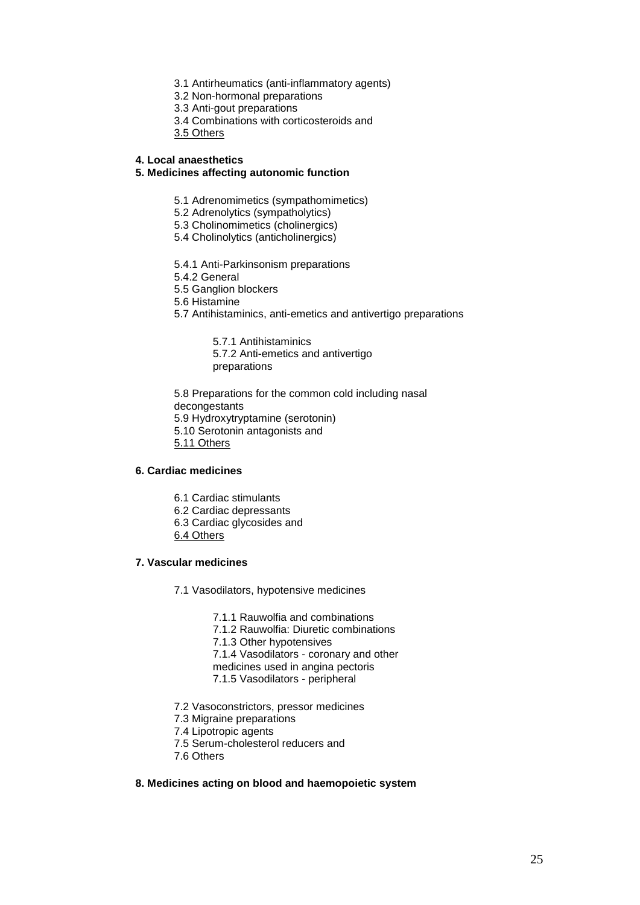- 3.1 Antirheumatics (anti-inflammatory agents)
- 3.2 Non-hormonal preparations
- 3.3 Anti-gout preparations
- 3.4 Combinations with corticosteroids and
- 3.5 Others

### **4. Local anaesthetics**

### **5. Medicines affecting autonomic function**

- 5.1 Adrenomimetics (sympathomimetics)
- 5.2 Adrenolytics (sympatholytics)
- 5.3 Cholinomimetics (cholinergics)
- 5.4 Cholinolytics (anticholinergics)
- 5.4.1 Anti-Parkinsonism preparations
- 5.4.2 General
- 5.5 Ganglion blockers
- 5.6 Histamine
- 5.7 Antihistaminics, anti-emetics and antivertigo preparations

5.7.1 Antihistaminics 5.7.2 Anti-emetics and antivertigo preparations

5.8 Preparations for the common cold including nasal decongestants 5.9 Hydroxytryptamine (serotonin) 5.10 Serotonin antagonists and 5.11 Others

## **6. Cardiac medicines**

- 6.1 Cardiac stimulants
- 6.2 Cardiac depressants
- 6.3 Cardiac glycosides and
- 6.4 Others

## **7. Vascular medicines**

- 7.1 Vasodilators, hypotensive medicines
	- 7.1.1 Rauwolfia and combinations
	- 7.1.2 Rauwolfia: Diuretic combinations
	- 7.1.3 Other hypotensives
	- 7.1.4 Vasodilators coronary and other
	- medicines used in angina pectoris
	- 7.1.5 Vasodilators peripheral
- 7.2 Vasoconstrictors, pressor medicines
- 7.3 Migraine preparations
- 7.4 Lipotropic agents
- 7.5 Serum-cholesterol reducers and
- 7.6 Others

### **8. Medicines acting on blood and haemopoietic system**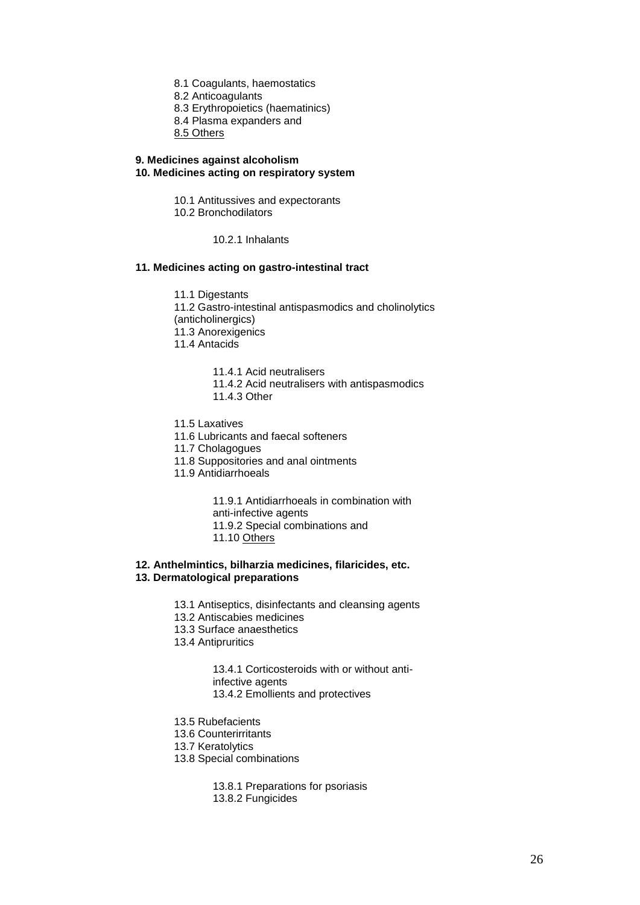- 8.1 Coagulants, haemostatics
- 8.2 Anticoagulants
- 8.3 Erythropoietics (haematinics)
- 8.4 Plasma expanders and
- 8.5 Others

#### **9. Medicines against alcoholism 10. Medicines acting on respiratory system**

- 10.1 Antitussives and expectorants
- 10.2 Bronchodilators
	- 10.2.1 Inhalants

# **11. Medicines acting on gastro-intestinal tract**

11.1 Digestants 11.2 Gastro-intestinal antispasmodics and cholinolytics (anticholinergics) 11.3 Anorexigenics 11.4 Antacids

- 11.4.1 Acid neutralisers
- 11.4.2 Acid neutralisers with antispasmodics 11.4.3 Other
- 
- 11.5 Laxatives
- 11.6 Lubricants and faecal softeners
- 11.7 Cholagogues
- 11.8 Suppositories and anal ointments
- 11.9 Antidiarrhoeals

11.9.1 Antidiarrhoeals in combination with anti-infective agents

- 11.9.2 Special combinations and
- 11.10 Others

### **12. Anthelmintics, bilharzia medicines, filaricides, etc. 13. Dermatological preparations**

- 13.1 Antiseptics, disinfectants and cleansing agents
- 13.2 Antiscabies medicines
- 13.3 Surface anaesthetics
- 13.4 Antipruritics

13.4.1 Corticosteroids with or without antiinfective agents 13.4.2 Emollients and protectives

- 13.5 Rubefacients
- 13.6 Counterirritants
- 13.7 Keratolytics
- 13.8 Special combinations

13.8.1 Preparations for psoriasis 13.8.2 Fungicides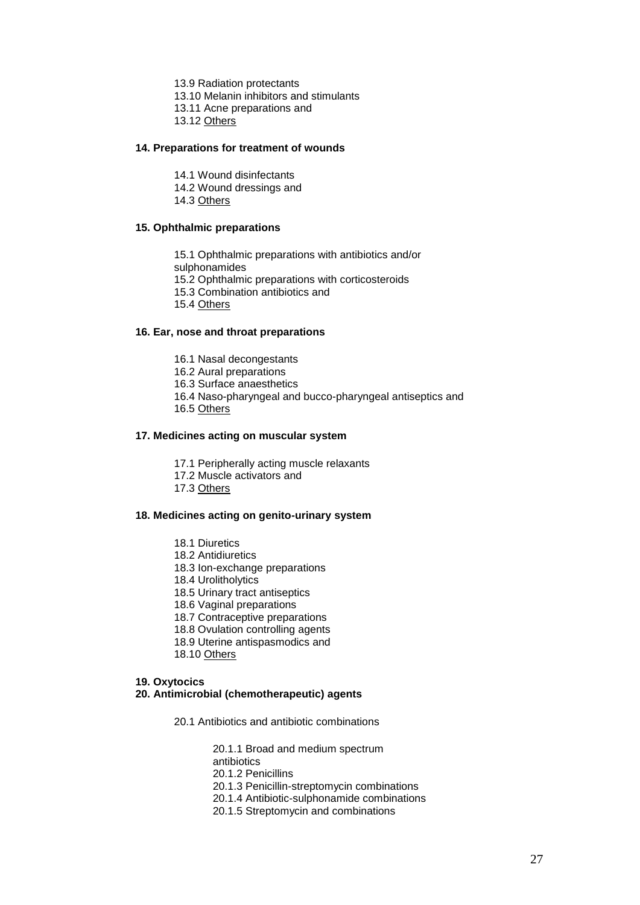13.9 Radiation protectants

13.10 Melanin inhibitors and stimulants

- 13.11 Acne preparations and
- 13.12 Others

# **14. Preparations for treatment of wounds**

- 14.1 Wound disinfectants
- 14.2 Wound dressings and

14.3 Others

# **15. Ophthalmic preparations**

15.1 Ophthalmic preparations with antibiotics and/or

sulphonamides

- 15.2 Ophthalmic preparations with corticosteroids
- 15.3 Combination antibiotics and

15.4 Others

#### **16. Ear, nose and throat preparations**

- 16.1 Nasal decongestants
- 16.2 Aural preparations
- 16.3 Surface anaesthetics
- 16.4 Naso-pharyngeal and bucco-pharyngeal antiseptics and
- 16.5 Others

#### **17. Medicines acting on muscular system**

- 17.1 Peripherally acting muscle relaxants
- 17.2 Muscle activators and
- 17.3 Others

### **18. Medicines acting on genito-urinary system**

- 18.1 Diuretics
- 18.2 Antidiuretics
- 18.3 Ion-exchange preparations
- 18.4 Urolitholytics
- 18.5 Urinary tract antiseptics
- 18.6 Vaginal preparations
- 18.7 Contraceptive preparations
- 18.8 Ovulation controlling agents
- 18.9 Uterine antispasmodics and
- 18.10 Others

#### **19. Oxytocics**

#### **20. Antimicrobial (chemotherapeutic) agents**

20.1 Antibiotics and antibiotic combinations

20.1.1 Broad and medium spectrum

antibiotics

20.1.2 Penicillins

20.1.3 Penicillin-streptomycin combinations

- 20.1.4 Antibiotic-sulphonamide combinations
- 20.1.5 Streptomycin and combinations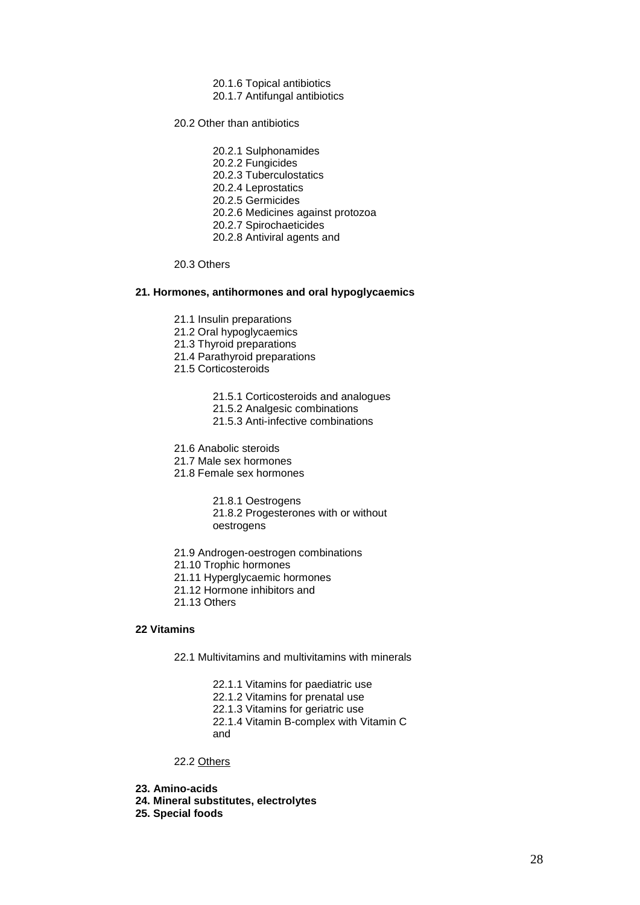- 20.1.6 Topical antibiotics
- 20.1.7 Antifungal antibiotics

20.2 Other than antibiotics

- 20.2.1 Sulphonamides
- 20.2.2 Fungicides
- 20.2.3 Tuberculostatics
- 20.2.4 Leprostatics
- 20.2.5 Germicides
- 20.2.6 Medicines against protozoa
- 20.2.7 Spirochaeticides
- 20.2.8 Antiviral agents and

### 20.3 Others

#### **21. Hormones, antihormones and oral hypoglycaemics**

- 21.1 Insulin preparations
- 21.2 Oral hypoglycaemics
- 21.3 Thyroid preparations
- 21.4 Parathyroid preparations
- 21.5 Corticosteroids
	- 21.5.1 Corticosteroids and analogues
	- 21.5.2 Analgesic combinations
	- 21.5.3 Anti-infective combinations
- 21.6 Anabolic steroids
- 21.7 Male sex hormones
- 21.8 Female sex hormones

21.8.1 Oestrogens

21.8.2 Progesterones with or without oestrogens

- 21.9 Androgen-oestrogen combinations
- 21.10 Trophic hormones
- 21.11 Hyperglycaemic hormones
- 21.12 Hormone inhibitors and
- 21.13 Others

# **22 Vitamins**

- 22.1 Multivitamins and multivitamins with minerals
	- 22.1.1 Vitamins for paediatric use
	- 22.1.2 Vitamins for prenatal use
	- 22.1.3 Vitamins for geriatric use
	- 22.1.4 Vitamin B-complex with Vitamin C
	- and

# 22.2 Others

- **23. Amino-acids**
- **24. Mineral substitutes, electrolytes**
- **25. Special foods**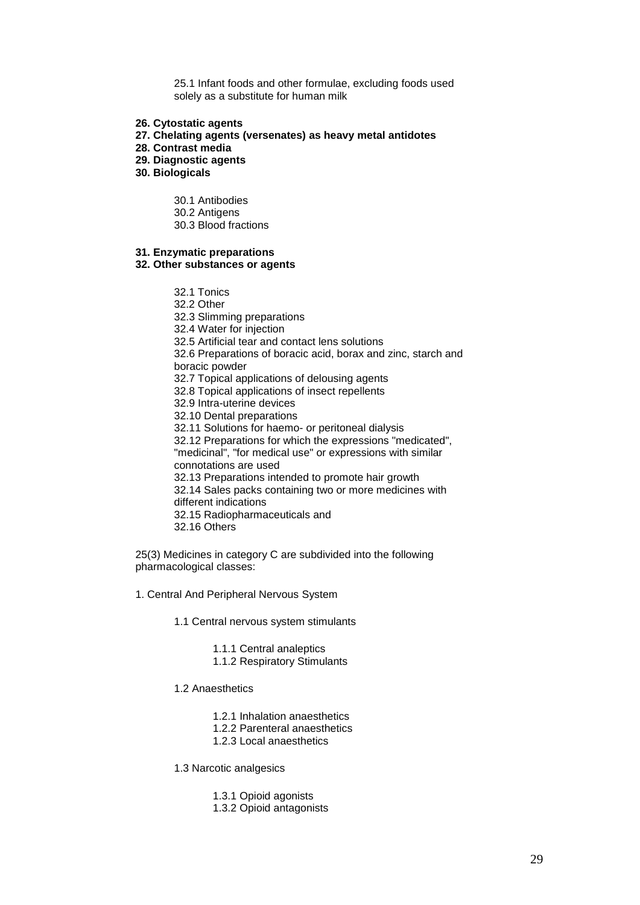25.1 Infant foods and other formulae, excluding foods used solely as a substitute for human milk

- **26. Cytostatic agents**
- **27. Chelating agents (versenates) as heavy metal antidotes**
- **28. Contrast media**
- **29. Diagnostic agents**
- **30. Biologicals**
	- 30.1 Antibodies
	- 30.2 Antigens
	- 30.3 Blood fractions

## **31. Enzymatic preparations**

# **32. Other substances or agents**

- 32.1 Tonics
- 32.2 Other
- 32.3 Slimming preparations
- 32.4 Water for injection
- 32.5 Artificial tear and contact lens solutions
- 32.6 Preparations of boracic acid, borax and zinc, starch and boracic powder
- 32.7 Topical applications of delousing agents
- 32.8 Topical applications of insect repellents
- 32.9 Intra-uterine devices
- 32.10 Dental preparations
- 32.11 Solutions for haemo- or peritoneal dialysis
- 32.12 Preparations for which the expressions "medicated", "medicinal", "for medical use" or expressions with similar
- connotations are used
- 32.13 Preparations intended to promote hair growth 32.14 Sales packs containing two or more medicines with different indications
- 32.15 Radiopharmaceuticals and
- 32.16 Others

25(3) Medicines in category C are subdivided into the following pharmacological classes:

- 1. Central And Peripheral Nervous System
	- 1.1 Central nervous system stimulants
		- 1.1.1 Central analeptics
		- 1.1.2 Respiratory Stimulants
	- 1.2 Anaesthetics
		- 1.2.1 Inhalation anaesthetics
		- 1.2.2 Parenteral anaesthetics
		- 1.2.3 Local anaesthetics
	- 1.3 Narcotic analgesics
		- 1.3.1 Opioid agonists
		- 1.3.2 Opioid antagonists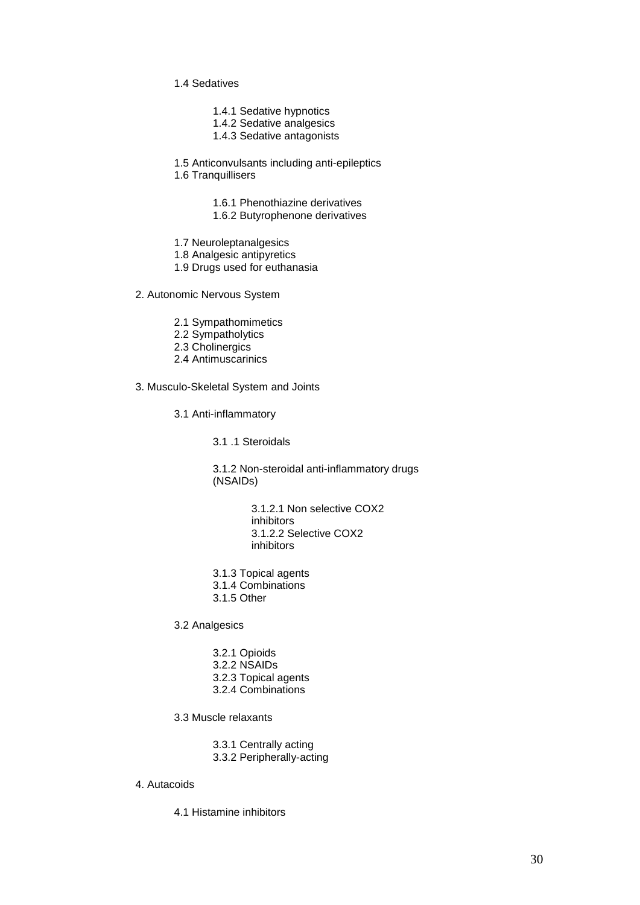- 1.4 Sedatives
	- 1.4.1 Sedative hypnotics
	- 1.4.2 Sedative analgesics
	- 1.4.3 Sedative antagonists

1.5 Anticonvulsants including anti-epileptics

1.6 Tranquillisers

1.6.1 Phenothiazine derivatives

- 1.6.2 Butyrophenone derivatives
- 1.7 Neuroleptanalgesics

1.8 Analgesic antipyretics

- 1.9 Drugs used for euthanasia
- 2. Autonomic Nervous System
	- 2.1 Sympathomimetics
	- 2.2 Sympatholytics
	- 2.3 Cholinergics
	- 2.4 Antimuscarinics
- 3. Musculo-Skeletal System and Joints
	- 3.1 Anti-inflammatory
		- 3.1 .1 Steroidals

3.1.2 Non-steroidal anti-inflammatory drugs (NSAIDs)

> 3.1.2.1 Non selective COX2 inhibitors 3.1.2.2 Selective COX2 inhibitors

- 3.1.3 Topical agents
- 3.1.4 Combinations
- 3.1.5 Other

3.2 Analgesics

- 3.2.1 Opioids
- 3.2.2 NSAIDs
- 3.2.3 Topical agents
- 3.2.4 Combinations

3.3 Muscle relaxants

3.3.1 Centrally acting

3.3.2 Peripherally-acting

### 4. Autacoids

4.1 Histamine inhibitors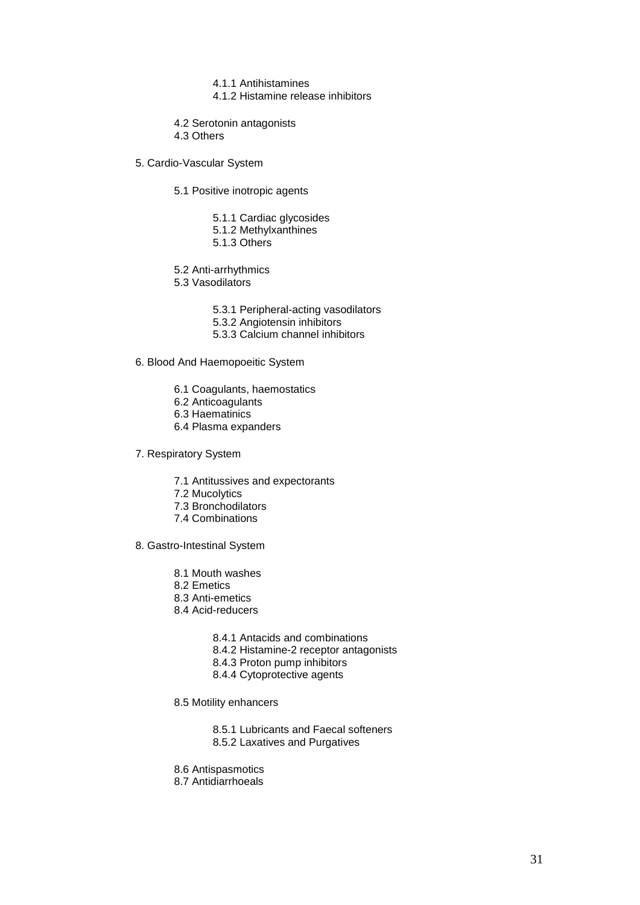- 4.1.1 Antihistamines
- 4.1.2 Histamine release inhibitors

4.2 Serotonin antagonists

4.3 Others

5. Cardio-Vascular System

- 5.1 Positive inotropic agents
	- 5.1.1 Cardiac glycosides
	- 5.1.2 Methylxanthines
	- 5.1.3 Others
- 5.2 Anti-arrhythmics
- 5.3 Vasodilators
	- 5.3.1 Peripheral-acting vasodilators
	- 5.3.2 Angiotensin inhibitors
	- 5.3.3 Calcium channel inhibitors

6. Blood And Haemopoeitic System

- 6.1 Coagulants, haemostatics
- 6.2 Anticoagulants
- 6.3 Haematinics
- 6.4 Plasma expanders
- 7. Respiratory System
	- 7.1 Antitussives and expectorants
	- 7.2 Mucolytics
	- 7.3 Bronchodilators
	- 7.4 Combinations

8. Gastro-Intestinal System

- 8.1 Mouth washes
- 8.2 Emetics
- 8.3 Anti-emetics
- 8.4 Acid-reducers
	- 8.4.1 Antacids and combinations
	- 8.4.2 Histamine-2 receptor antagonists
	- 8.4.3 Proton pump inhibitors
	- 8.4.4 Cytoprotective agents
- 8.5 Motility enhancers
	- 8.5.1 Lubricants and Faecal softeners
	- 8.5.2 Laxatives and Purgatives
- 8.6 Antispasmotics
- 8.7 Antidiarrhoeals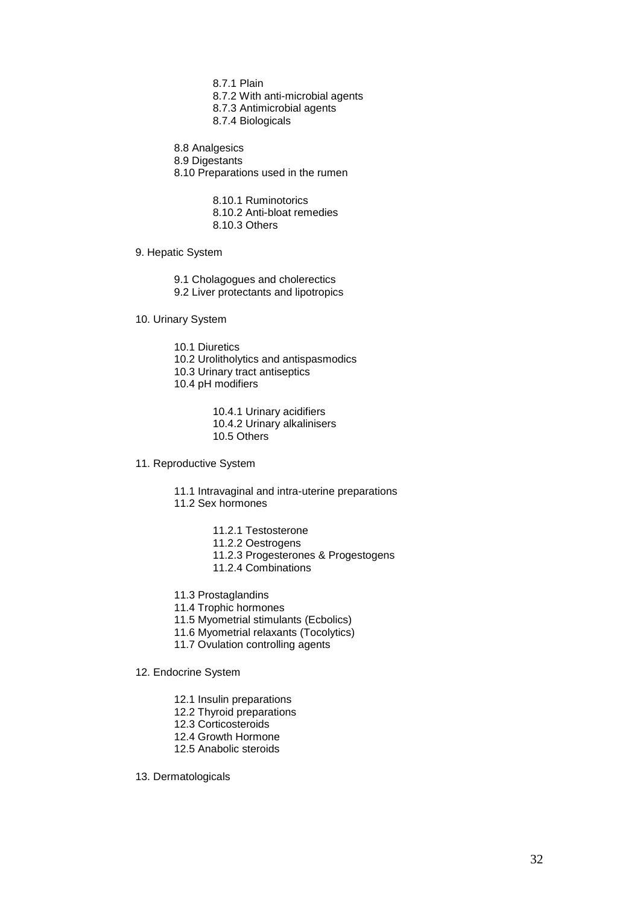- 8.7.1 Plain
- 8.7.2 With anti-microbial agents
- 8.7.3 Antimicrobial agents
- 8.7.4 Biologicals

8.8 Analgesics

8.9 Digestants

8.10 Preparations used in the rumen

8.10.1 Ruminotorics

8.10.2 Anti-bloat remedies

8.10.3 Others

9. Hepatic System

9.1 Cholagogues and cholerectics 9.2 Liver protectants and lipotropics

10. Urinary System

10.1 Diuretics 10.2 Urolitholytics and antispasmodics 10.3 Urinary tract antiseptics 10.4 pH modifiers

> 10.4.1 Urinary acidifiers 10.4.2 Urinary alkalinisers 10.5 Others

11. Reproductive System

11.1 Intravaginal and intra-uterine preparations 11.2 Sex hormones

- 11.2.1 Testosterone
- 11.2.2 Oestrogens
- 11.2.3 Progesterones & Progestogens
- 11.2.4 Combinations
- 11.3 Prostaglandins
- 11.4 Trophic hormones
- 11.5 Myometrial stimulants (Ecbolics)
- 11.6 Myometrial relaxants (Tocolytics)
- 11.7 Ovulation controlling agents
- 12. Endocrine System
	- 12.1 Insulin preparations
	- 12.2 Thyroid preparations
	- 12.3 Corticosteroids
	- 12.4 Growth Hormone
	- 12.5 Anabolic steroids

13. Dermatologicals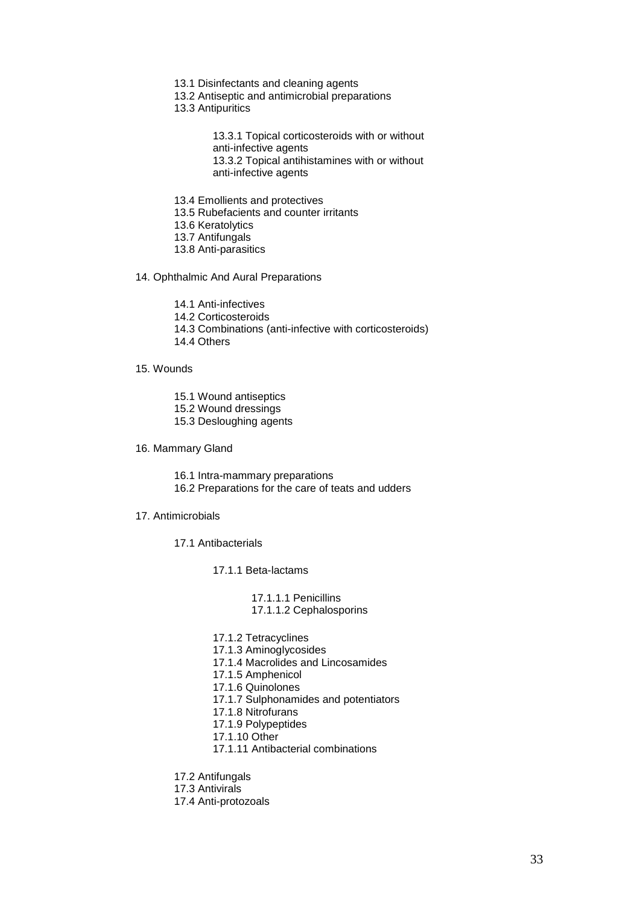- 13.1 Disinfectants and cleaning agents
- 13.2 Antiseptic and antimicrobial preparations
- 13.3 Antipuritics

13.3.1 Topical corticosteroids with or without anti-infective agents 13.3.2 Topical antihistamines with or without anti-infective agents

- 13.4 Emollients and protectives
- 13.5 Rubefacients and counter irritants
- 13.6 Keratolytics
- 13.7 Antifungals
- 13.8 Anti-parasitics

## 14. Ophthalmic And Aural Preparations

- 14.1 Anti-infectives
- 14.2 Corticosteroids
- 14.3 Combinations (anti-infective with corticosteroids)
- 14.4 Others

#### 15. Wounds

- 15.1 Wound antiseptics
- 15.2 Wound dressings
- 15.3 Desloughing agents
- 16. Mammary Gland
	- 16.1 Intra-mammary preparations
	- 16.2 Preparations for the care of teats and udders

#### 17. Antimicrobials

17.1 Antibacterials

17.1.1 Beta-lactams

17.1.1.1 Penicillins 17.1.1.2 Cephalosporins

- 17.1.2 Tetracyclines 17.1.3 Aminoglycosides 17.1.4 Macrolides and Lincosamides 17.1.5 Amphenicol 17.1.6 Quinolones 17.1.7 Sulphonamides and potentiators 17.1.8 Nitrofurans 17.1.9 Polypeptides 17.1.10 Other
- 17.1.11 Antibacterial combinations
- 17.2 Antifungals
- 17.3 Antivirals
- 17.4 Anti-protozoals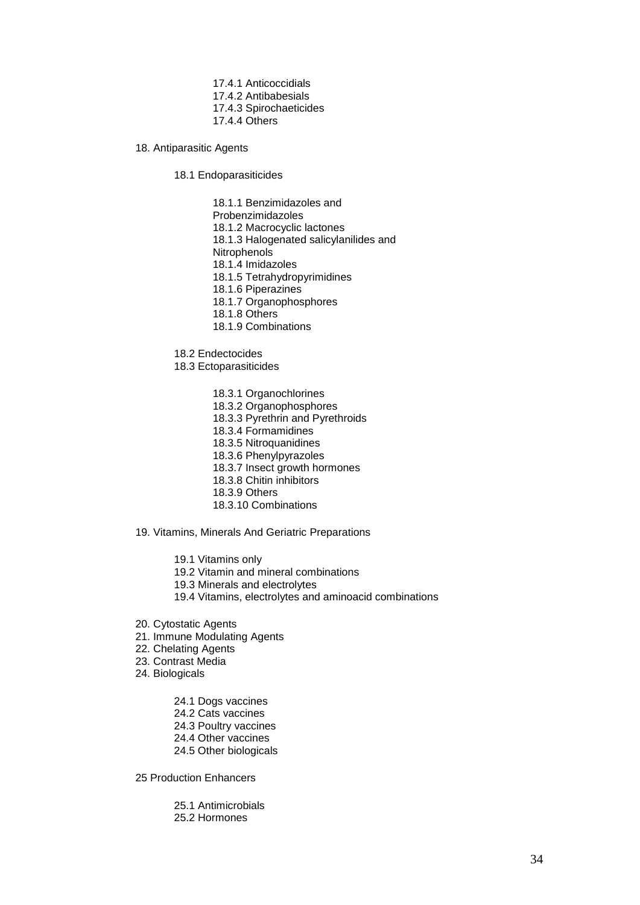- 17.4.1 Anticoccidials
- 17.4.2 Antibabesials
- 17.4.3 Spirochaeticides
- 17.4.4 Others
- 18. Antiparasitic Agents
	- 18.1 Endoparasiticides

18.1.1 Benzimidazoles and Probenzimidazoles 18.1.2 Macrocyclic lactones 18.1.3 Halogenated salicylanilides and **Nitrophenols** 18.1.4 Imidazoles 18.1.5 Tetrahydropyrimidines 18.1.6 Piperazines 18.1.7 Organophosphores 18.1.8 Others

18.1.9 Combinations

18.2 Endectocides

- 18.3 Ectoparasiticides
	- 18.3.1 Organochlorines
	- 18.3.2 Organophosphores
	- 18.3.3 Pyrethrin and Pyrethroids
	- 18.3.4 Formamidines
	- 18.3.5 Nitroquanidines
	- 18.3.6 Phenylpyrazoles
	- 18.3.7 Insect growth hormones
	- 18.3.8 Chitin inhibitors
	- 18.3.9 Others
	- 18.3.10 Combinations

19. Vitamins, Minerals And Geriatric Preparations

- 19.1 Vitamins only
- 19.2 Vitamin and mineral combinations
- 19.3 Minerals and electrolytes
- 19.4 Vitamins, electrolytes and aminoacid combinations
- 20. Cytostatic Agents
- 21. Immune Modulating Agents
- 22. Chelating Agents
- 23. Contrast Media
- 24. Biologicals
	- 24.1 Dogs vaccines
	- 24.2 Cats vaccines
	- 24.3 Poultry vaccines
	- 24.4 Other vaccines
	- 24.5 Other biologicals

25 Production Enhancers

25.1 Antimicrobials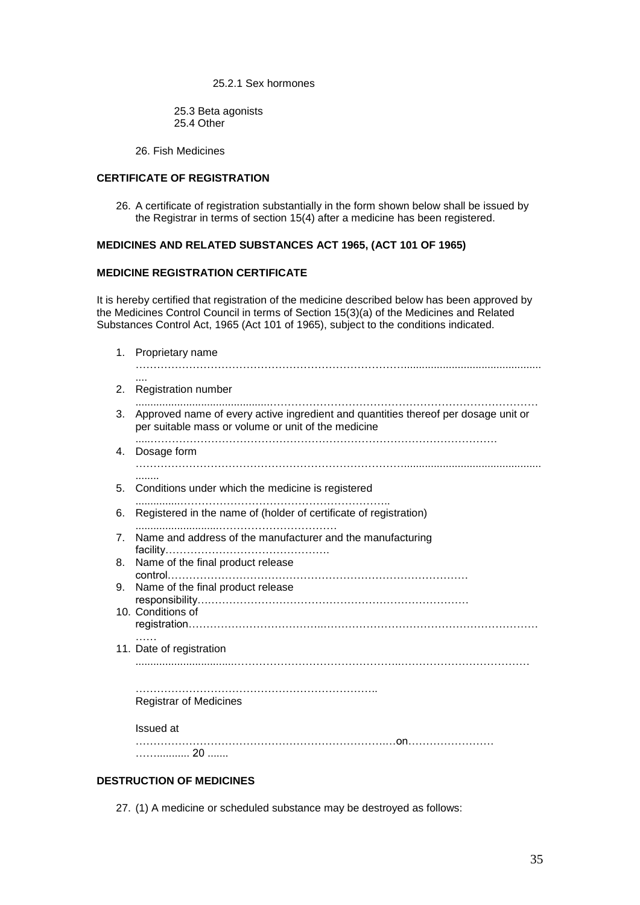25.2.1 Sex hormones

25.3 Beta agonists 25.4 Other

26. Fish Medicines

## **CERTIFICATE OF REGISTRATION**

26. A certificate of registration substantially in the form shown below shall be issued by the Registrar in terms of section 15(4) after a medicine has been registered.

# **MEDICINES AND RELATED SUBSTANCES ACT 1965, (ACT 101 OF 1965)**

### **MEDICINE REGISTRATION CERTIFICATE**

It is hereby certified that registration of the medicine described below has been approved by the Medicines Control Council in terms of Section 15(3)(a) of the Medicines and Related Substances Control Act, 1965 (Act 101 of 1965), subject to the conditions indicated.

|                      | 1. Proprietary name                                                                                                                       |
|----------------------|-------------------------------------------------------------------------------------------------------------------------------------------|
| 2.                   | <b>Registration number</b>                                                                                                                |
| 3.                   | Approved name of every active ingredient and quantities thereof per dosage unit or<br>per suitable mass or volume or unit of the medicine |
| 4.                   | Dosage form                                                                                                                               |
| 5.                   | Conditions under which the medicine is registered                                                                                         |
| 6.                   | Registered in the name of (holder of certificate of registration)                                                                         |
| 7 <sub>1</sub><br>8. | Name and address of the manufacturer and the manufacturing<br>Name of the final product release                                           |
| 9.                   | Name of the final product release                                                                                                         |
|                      | 10. Conditions of                                                                                                                         |
|                      | 11. Date of registration                                                                                                                  |
|                      | <b>Registrar of Medicines</b>                                                                                                             |
|                      | <b>Issued</b> at                                                                                                                          |
|                      | 20                                                                                                                                        |

# **DESTRUCTION OF MEDICINES**

27. (1) A medicine or scheduled substance may be destroyed as follows: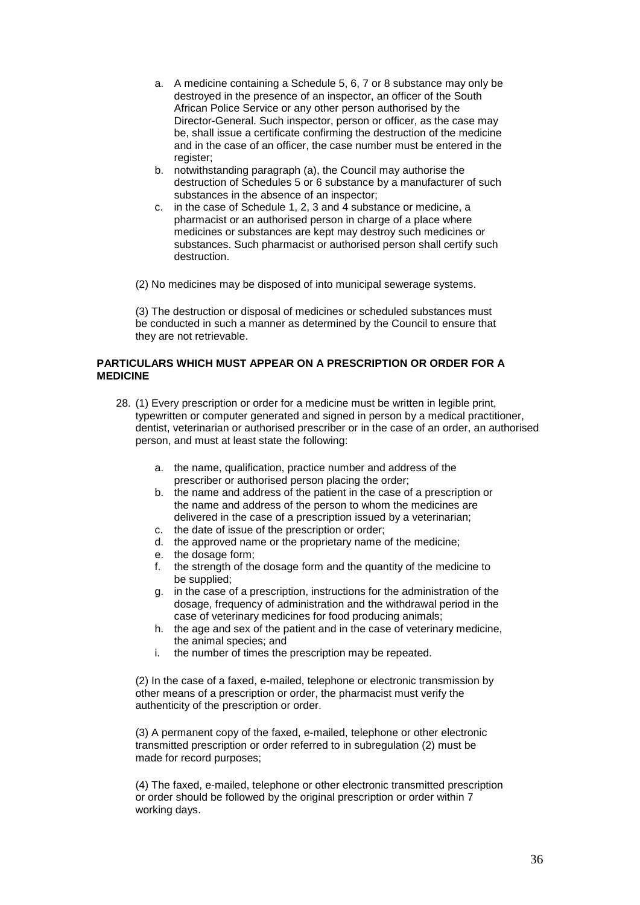- a. A medicine containing a Schedule 5, 6, 7 or 8 substance may only be destroyed in the presence of an inspector, an officer of the South African Police Service or any other person authorised by the Director-General. Such inspector, person or officer, as the case may be, shall issue a certificate confirming the destruction of the medicine and in the case of an officer, the case number must be entered in the register;
- b. notwithstanding paragraph (a), the Council may authorise the destruction of Schedules 5 or 6 substance by a manufacturer of such substances in the absence of an inspector;
- c. in the case of Schedule 1, 2, 3 and 4 substance or medicine, a pharmacist or an authorised person in charge of a place where medicines or substances are kept may destroy such medicines or substances. Such pharmacist or authorised person shall certify such destruction.
- (2) No medicines may be disposed of into municipal sewerage systems.

(3) The destruction or disposal of medicines or scheduled substances must be conducted in such a manner as determined by the Council to ensure that they are not retrievable.

### **PARTICULARS WHICH MUST APPEAR ON A PRESCRIPTION OR ORDER FOR A MEDICINE**

- 28. (1) Every prescription or order for a medicine must be written in legible print, typewritten or computer generated and signed in person by a medical practitioner, dentist, veterinarian or authorised prescriber or in the case of an order, an authorised person, and must at least state the following:
	- a. the name, qualification, practice number and address of the prescriber or authorised person placing the order;
	- b. the name and address of the patient in the case of a prescription or the name and address of the person to whom the medicines are delivered in the case of a prescription issued by a veterinarian;
	- c. the date of issue of the prescription or order;
	- d. the approved name or the proprietary name of the medicine;
	- e. the dosage form;
	- the strength of the dosage form and the quantity of the medicine to be supplied;
	- g. in the case of a prescription, instructions for the administration of the dosage, frequency of administration and the withdrawal period in the case of veterinary medicines for food producing animals;
	- h. the age and sex of the patient and in the case of veterinary medicine, the animal species; and
	- i. the number of times the prescription may be repeated.

(2) In the case of a faxed, e-mailed, telephone or electronic transmission by other means of a prescription or order, the pharmacist must verify the authenticity of the prescription or order.

(3) A permanent copy of the faxed, e-mailed, telephone or other electronic transmitted prescription or order referred to in subregulation (2) must be made for record purposes;

(4) The faxed, e-mailed, telephone or other electronic transmitted prescription or order should be followed by the original prescription or order within 7 working days.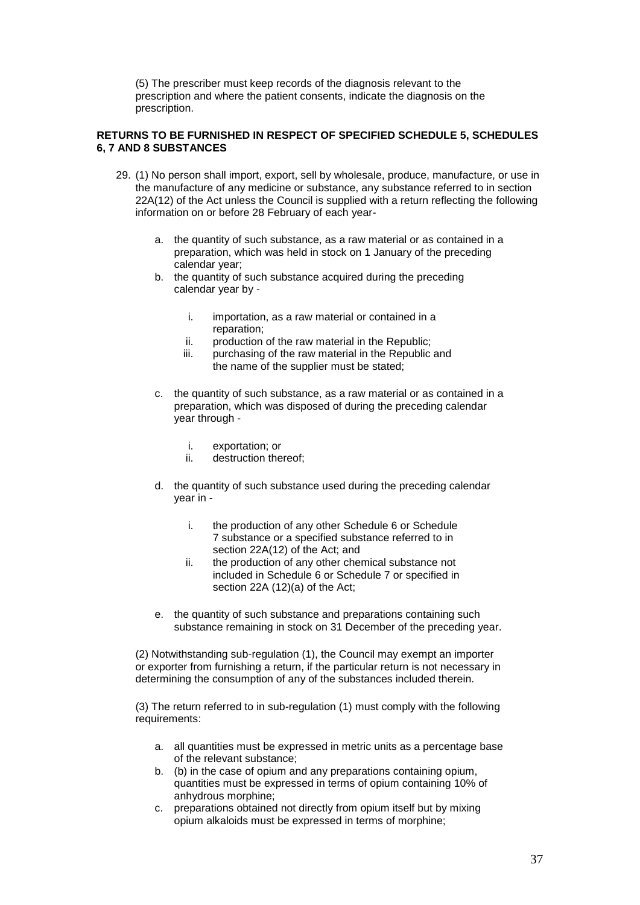(5) The prescriber must keep records of the diagnosis relevant to the prescription and where the patient consents, indicate the diagnosis on the prescription.

## **RETURNS TO BE FURNISHED IN RESPECT OF SPECIFIED SCHEDULE 5, SCHEDULES 6, 7 AND 8 SUBSTANCES**

- 29. (1) No person shall import, export, sell by wholesale, produce, manufacture, or use in the manufacture of any medicine or substance, any substance referred to in section 22A(12) of the Act unless the Council is supplied with a return reflecting the following information on or before 28 February of each year
	- a. the quantity of such substance, as a raw material or as contained in a preparation, which was held in stock on 1 January of the preceding calendar year;
	- b. the quantity of such substance acquired during the preceding calendar year by
		- i. importation, as a raw material or contained in a reparation;
		- ii. production of the raw material in the Republic;
		- iii. purchasing of the raw material in the Republic and the name of the supplier must be stated;
	- c. the quantity of such substance, as a raw material or as contained in a preparation, which was disposed of during the preceding calendar year through
		- i. exportation; or
		- ii. destruction thereof;
	- d. the quantity of such substance used during the preceding calendar year in
		- i. the production of any other Schedule 6 or Schedule 7 substance or a specified substance referred to in section 22A(12) of the Act; and
		- ii. the production of any other chemical substance not included in Schedule 6 or Schedule 7 or specified in section 22A (12)(a) of the Act;
	- e. the quantity of such substance and preparations containing such substance remaining in stock on 31 December of the preceding year.

(2) Notwithstanding sub-regulation (1), the Council may exempt an importer or exporter from furnishing a return, if the particular return is not necessary in determining the consumption of any of the substances included therein.

(3) The return referred to in sub-regulation (1) must comply with the following requirements:

- a. all quantities must be expressed in metric units as a percentage base of the relevant substance;
- b. (b) in the case of opium and any preparations containing opium, quantities must be expressed in terms of opium containing 10% of anhydrous morphine;
- c. preparations obtained not directly from opium itself but by mixing opium alkaloids must be expressed in terms of morphine;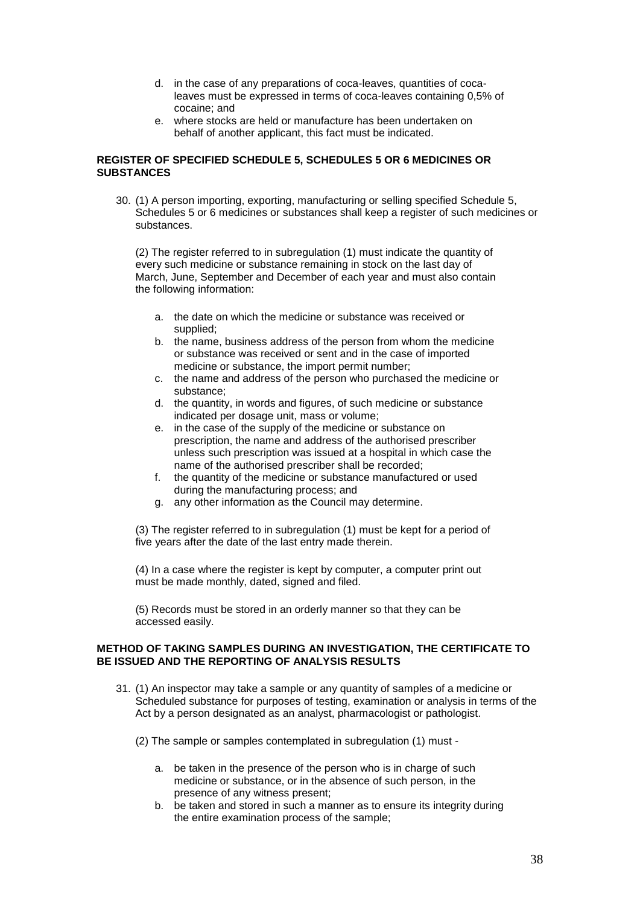- d. in the case of any preparations of coca-leaves, quantities of cocaleaves must be expressed in terms of coca-leaves containing 0,5% of cocaine; and
- e. where stocks are held or manufacture has been undertaken on behalf of another applicant, this fact must be indicated.

### **REGISTER OF SPECIFIED SCHEDULE 5, SCHEDULES 5 OR 6 MEDICINES OR SUBSTANCES**

30. (1) A person importing, exporting, manufacturing or selling specified Schedule 5, Schedules 5 or 6 medicines or substances shall keep a register of such medicines or substances.

(2) The register referred to in subregulation (1) must indicate the quantity of every such medicine or substance remaining in stock on the last day of March, June, September and December of each year and must also contain the following information:

- a. the date on which the medicine or substance was received or supplied;
- b. the name, business address of the person from whom the medicine or substance was received or sent and in the case of imported medicine or substance, the import permit number;
- c. the name and address of the person who purchased the medicine or substance;
- d. the quantity, in words and figures, of such medicine or substance indicated per dosage unit, mass or volume;
- e. in the case of the supply of the medicine or substance on prescription, the name and address of the authorised prescriber unless such prescription was issued at a hospital in which case the name of the authorised prescriber shall be recorded;
- f. the quantity of the medicine or substance manufactured or used during the manufacturing process; and
- g. any other information as the Council may determine.

(3) The register referred to in subregulation (1) must be kept for a period of five years after the date of the last entry made therein.

(4) In a case where the register is kept by computer, a computer print out must be made monthly, dated, signed and filed.

(5) Records must be stored in an orderly manner so that they can be accessed easily.

#### **METHOD OF TAKING SAMPLES DURING AN INVESTIGATION, THE CERTIFICATE TO BE ISSUED AND THE REPORTING OF ANALYSIS RESULTS**

- 31. (1) An inspector may take a sample or any quantity of samples of a medicine or Scheduled substance for purposes of testing, examination or analysis in terms of the Act by a person designated as an analyst, pharmacologist or pathologist.
	- (2) The sample or samples contemplated in subregulation (1) must
		- a. be taken in the presence of the person who is in charge of such medicine or substance, or in the absence of such person, in the presence of any witness present;
		- b. be taken and stored in such a manner as to ensure its integrity during the entire examination process of the sample;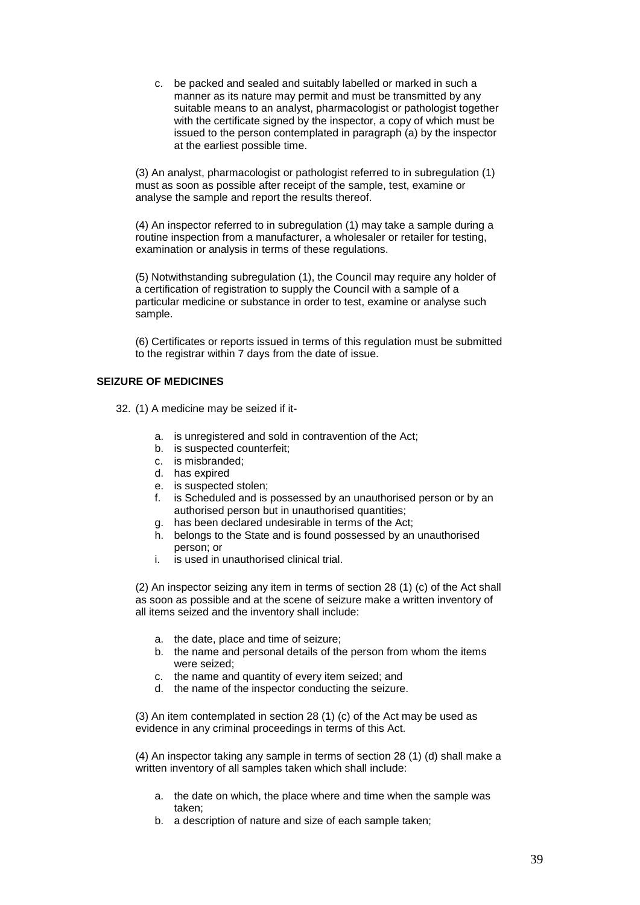c. be packed and sealed and suitably labelled or marked in such a manner as its nature may permit and must be transmitted by any suitable means to an analyst, pharmacologist or pathologist together with the certificate signed by the inspector, a copy of which must be issued to the person contemplated in paragraph (a) by the inspector at the earliest possible time.

(3) An analyst, pharmacologist or pathologist referred to in subregulation (1) must as soon as possible after receipt of the sample, test, examine or analyse the sample and report the results thereof.

(4) An inspector referred to in subregulation (1) may take a sample during a routine inspection from a manufacturer, a wholesaler or retailer for testing, examination or analysis in terms of these regulations.

(5) Notwithstanding subregulation (1), the Council may require any holder of a certification of registration to supply the Council with a sample of a particular medicine or substance in order to test, examine or analyse such sample.

(6) Certificates or reports issued in terms of this regulation must be submitted to the registrar within 7 days from the date of issue.

# **SEIZURE OF MEDICINES**

32. (1) A medicine may be seized if it-

- a. is unregistered and sold in contravention of the Act;
- b. is suspected counterfeit;
- c. is misbranded;
- d. has expired
- e. is suspected stolen;
- f. is Scheduled and is possessed by an unauthorised person or by an authorised person but in unauthorised quantities;
- g. has been declared undesirable in terms of the Act;
- h. belongs to the State and is found possessed by an unauthorised person; or
- i. is used in unauthorised clinical trial.

(2) An inspector seizing any item in terms of section 28 (1) (c) of the Act shall as soon as possible and at the scene of seizure make a written inventory of all items seized and the inventory shall include:

- a. the date, place and time of seizure;
- b. the name and personal details of the person from whom the items were seized;
- c. the name and quantity of every item seized; and
- d. the name of the inspector conducting the seizure.

(3) An item contemplated in section 28 (1) (c) of the Act may be used as evidence in any criminal proceedings in terms of this Act.

(4) An inspector taking any sample in terms of section 28 (1) (d) shall make a written inventory of all samples taken which shall include:

- a. the date on which, the place where and time when the sample was taken;
- b. a description of nature and size of each sample taken;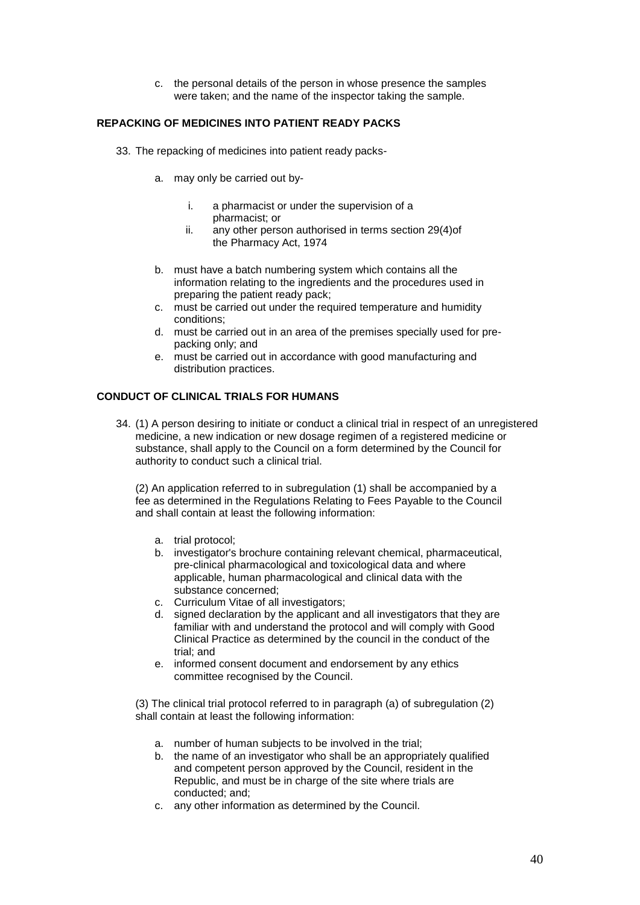c. the personal details of the person in whose presence the samples were taken; and the name of the inspector taking the sample.

# **REPACKING OF MEDICINES INTO PATIENT READY PACKS**

- 33. The repacking of medicines into patient ready packs
	- a. may only be carried out by
		- i. a pharmacist or under the supervision of a pharmacist; or
		- ii. any other person authorised in terms section 29(4)of the Pharmacy Act, 1974
	- b. must have a batch numbering system which contains all the information relating to the ingredients and the procedures used in preparing the patient ready pack;
	- c. must be carried out under the required temperature and humidity conditions;
	- d. must be carried out in an area of the premises specially used for prepacking only; and
	- e. must be carried out in accordance with good manufacturing and distribution practices.

# **CONDUCT OF CLINICAL TRIALS FOR HUMANS**

34. (1) A person desiring to initiate or conduct a clinical trial in respect of an unregistered medicine, a new indication or new dosage regimen of a registered medicine or substance, shall apply to the Council on a form determined by the Council for authority to conduct such a clinical trial.

(2) An application referred to in subregulation (1) shall be accompanied by a fee as determined in the Regulations Relating to Fees Payable to the Council and shall contain at least the following information:

- a. trial protocol;
- b. investigator's brochure containing relevant chemical, pharmaceutical, pre-clinical pharmacological and toxicological data and where applicable, human pharmacological and clinical data with the substance concerned;
- c. Curriculum Vitae of all investigators;
- d. signed declaration by the applicant and all investigators that they are familiar with and understand the protocol and will comply with Good Clinical Practice as determined by the council in the conduct of the trial; and
- e. informed consent document and endorsement by any ethics committee recognised by the Council.

(3) The clinical trial protocol referred to in paragraph (a) of subregulation (2) shall contain at least the following information:

- a. number of human subjects to be involved in the trial;
- b. the name of an investigator who shall be an appropriately qualified and competent person approved by the Council, resident in the Republic, and must be in charge of the site where trials are conducted; and;
- c. any other information as determined by the Council.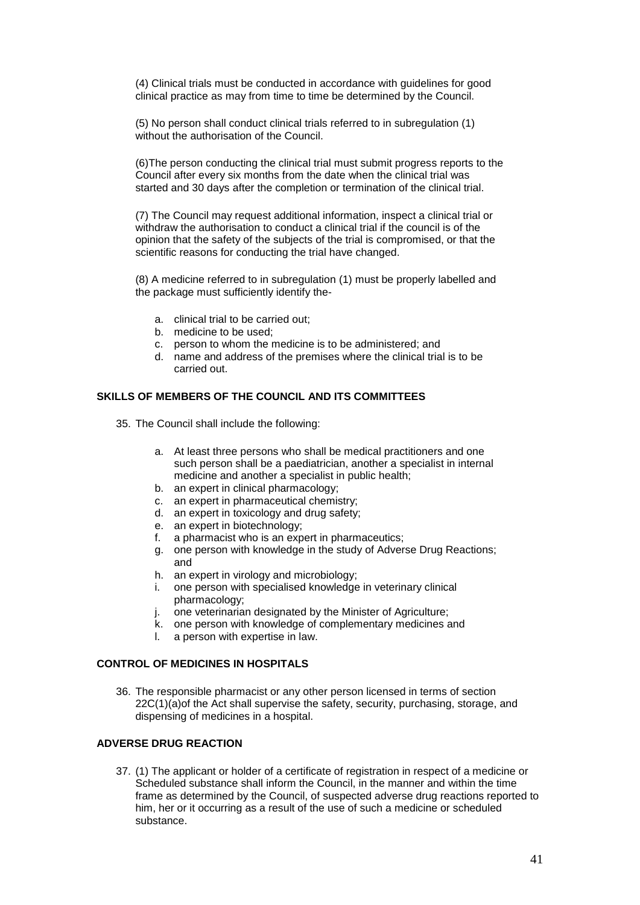(4) Clinical trials must be conducted in accordance with guidelines for good clinical practice as may from time to time be determined by the Council.

(5) No person shall conduct clinical trials referred to in subregulation (1) without the authorisation of the Council.

(6)The person conducting the clinical trial must submit progress reports to the Council after every six months from the date when the clinical trial was started and 30 days after the completion or termination of the clinical trial.

(7) The Council may request additional information, inspect a clinical trial or withdraw the authorisation to conduct a clinical trial if the council is of the opinion that the safety of the subjects of the trial is compromised, or that the scientific reasons for conducting the trial have changed.

(8) A medicine referred to in subregulation (1) must be properly labelled and the package must sufficiently identify the-

- a. clinical trial to be carried out;
- b. medicine to be used;
- c. person to whom the medicine is to be administered; and
- d. name and address of the premises where the clinical trial is to be carried out.

### **SKILLS OF MEMBERS OF THE COUNCIL AND ITS COMMITTEES**

- 35. The Council shall include the following:
	- a. At least three persons who shall be medical practitioners and one such person shall be a paediatrician, another a specialist in internal medicine and another a specialist in public health;
	- b. an expert in clinical pharmacology;
	- c. an expert in pharmaceutical chemistry;
	- d. an expert in toxicology and drug safety;
	- e. an expert in biotechnology;
	- f. a pharmacist who is an expert in pharmaceutics;
	- g. one person with knowledge in the study of Adverse Drug Reactions; and
	- h. an expert in virology and microbiology;
	- i. one person with specialised knowledge in veterinary clinical pharmacology;
	- j. one veterinarian designated by the Minister of Agriculture;
	- k. one person with knowledge of complementary medicines and
	- l. a person with expertise in law.

### **CONTROL OF MEDICINES IN HOSPITALS**

36. The responsible pharmacist or any other person licensed in terms of section 22C(1)(a)of the Act shall supervise the safety, security, purchasing, storage, and dispensing of medicines in a hospital.

# **ADVERSE DRUG REACTION**

37. (1) The applicant or holder of a certificate of registration in respect of a medicine or Scheduled substance shall inform the Council, in the manner and within the time frame as determined by the Council, of suspected adverse drug reactions reported to him, her or it occurring as a result of the use of such a medicine or scheduled substance.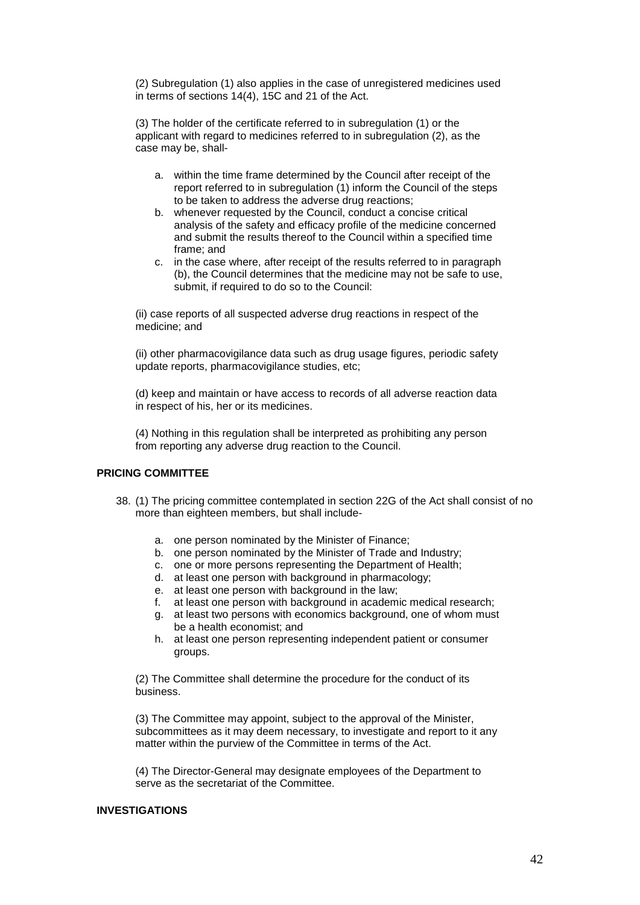(2) Subregulation (1) also applies in the case of unregistered medicines used in terms of sections 14(4), 15C and 21 of the Act.

(3) The holder of the certificate referred to in subregulation (1) or the applicant with regard to medicines referred to in subregulation (2), as the case may be, shall-

- a. within the time frame determined by the Council after receipt of the report referred to in subregulation (1) inform the Council of the steps to be taken to address the adverse drug reactions;
- b. whenever requested by the Council, conduct a concise critical analysis of the safety and efficacy profile of the medicine concerned and submit the results thereof to the Council within a specified time frame; and
- c. in the case where, after receipt of the results referred to in paragraph (b), the Council determines that the medicine may not be safe to use, submit, if required to do so to the Council:

(ii) case reports of all suspected adverse drug reactions in respect of the medicine; and

(ii) other pharmacovigilance data such as drug usage figures, periodic safety update reports, pharmacovigilance studies, etc;

(d) keep and maintain or have access to records of all adverse reaction data in respect of his, her or its medicines.

(4) Nothing in this regulation shall be interpreted as prohibiting any person from reporting any adverse drug reaction to the Council.

#### **PRICING COMMITTEE**

- 38. (1) The pricing committee contemplated in section 22G of the Act shall consist of no more than eighteen members, but shall include
	- a. one person nominated by the Minister of Finance;
	- b. one person nominated by the Minister of Trade and Industry;
	- c. one or more persons representing the Department of Health;
	- d. at least one person with background in pharmacology;
	- e. at least one person with background in the law;
	- f. at least one person with background in academic medical research;
	- g. at least two persons with economics background, one of whom must be a health economist; and
	- h. at least one person representing independent patient or consumer groups.

(2) The Committee shall determine the procedure for the conduct of its business.

(3) The Committee may appoint, subject to the approval of the Minister, subcommittees as it may deem necessary, to investigate and report to it any matter within the purview of the Committee in terms of the Act.

(4) The Director-General may designate employees of the Department to serve as the secretariat of the Committee.

### **INVESTIGATIONS**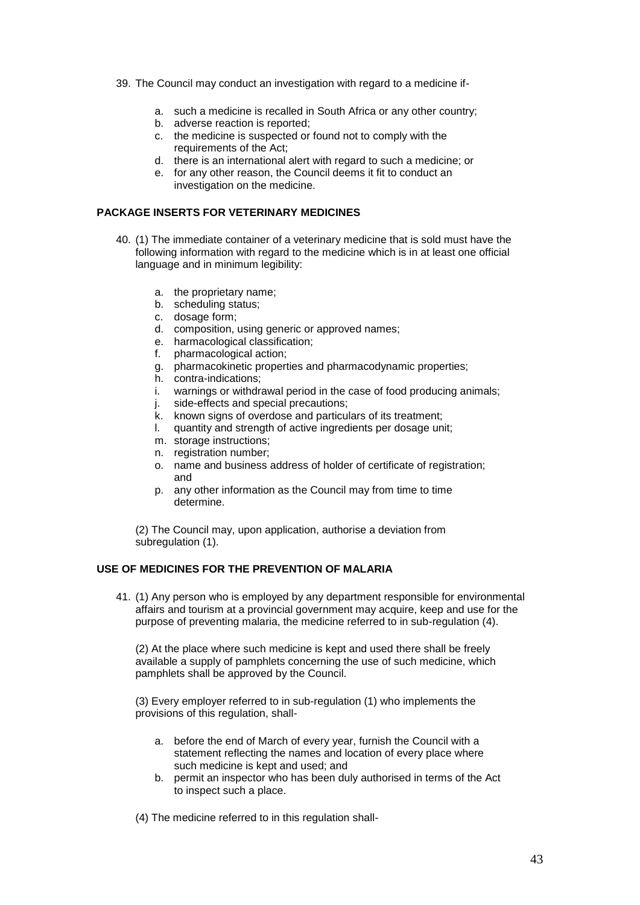- 39. The Council may conduct an investigation with regard to a medicine if
	- a. such a medicine is recalled in South Africa or any other country;
	- b. adverse reaction is reported;
	- c. the medicine is suspected or found not to comply with the requirements of the Act;
	- d. there is an international alert with regard to such a medicine; or
	- e. for any other reason, the Council deems it fit to conduct an investigation on the medicine.

## **PACKAGE INSERTS FOR VETERINARY MEDICINES**

- 40. (1) The immediate container of a veterinary medicine that is sold must have the following information with regard to the medicine which is in at least one official language and in minimum legibility:
	- a. the proprietary name;
	- b. scheduling status;
	- c. dosage form;
	- d. composition, using generic or approved names;
	- e. harmacological classification;
	- f. pharmacological action;
	- g. pharmacokinetic properties and pharmacodynamic properties;
	- h. contra-indications;
	- i. warnings or withdrawal period in the case of food producing animals;
	- j. side-effects and special precautions;
	- k. known signs of overdose and particulars of its treatment;
	- l. quantity and strength of active ingredients per dosage unit;
	- m. storage instructions;
	- n. registration number;
	- o. name and business address of holder of certificate of registration; and
	- p. any other information as the Council may from time to time determine.

(2) The Council may, upon application, authorise a deviation from subregulation (1).

# **USE OF MEDICINES FOR THE PREVENTION OF MALARIA**

41. (1) Any person who is employed by any department responsible for environmental affairs and tourism at a provincial government may acquire, keep and use for the purpose of preventing malaria, the medicine referred to in sub-regulation (4).

(2) At the place where such medicine is kept and used there shall be freely available a supply of pamphlets concerning the use of such medicine, which pamphlets shall be approved by the Council.

(3) Every employer referred to in sub-regulation (1) who implements the provisions of this regulation, shall-

- a. before the end of March of every year, furnish the Council with a statement reflecting the names and location of every place where such medicine is kept and used; and
- b. permit an inspector who has been duly authorised in terms of the Act to inspect such a place.
- (4) The medicine referred to in this regulation shall-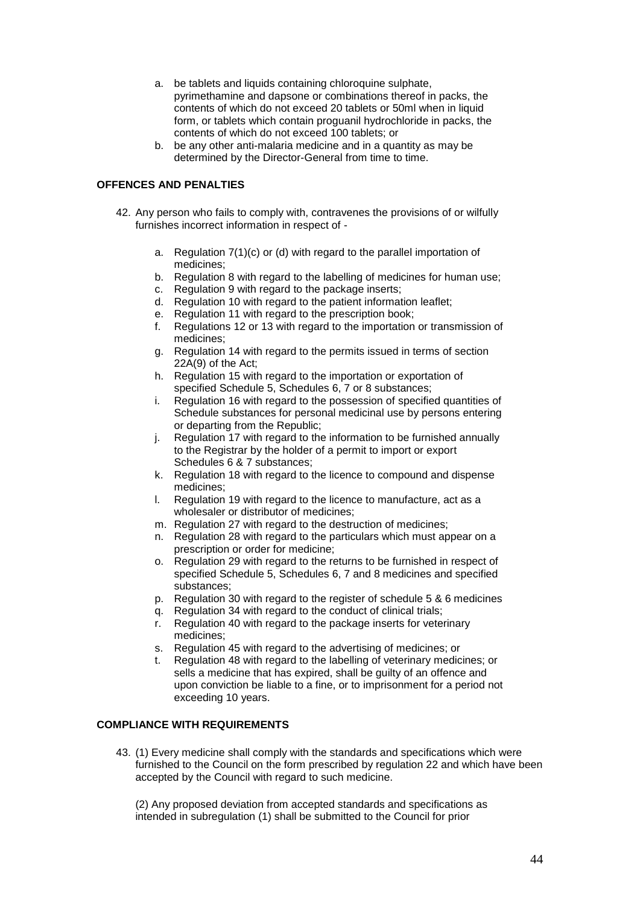- a. be tablets and liquids containing chloroquine sulphate, pyrimethamine and dapsone or combinations thereof in packs, the contents of which do not exceed 20 tablets or 50ml when in liquid form, or tablets which contain proguanil hydrochloride in packs, the contents of which do not exceed 100 tablets; or
- b. be any other anti-malaria medicine and in a quantity as may be determined by the Director-General from time to time.

# **OFFENCES AND PENALTIES**

- 42. Any person who fails to comply with, contravenes the provisions of or wilfully furnishes incorrect information in respect of
	- a. Regulation 7(1)(c) or (d) with regard to the parallel importation of medicines;
	- b. Regulation 8 with regard to the labelling of medicines for human use;
	- c. Regulation 9 with regard to the package inserts;
	- d. Regulation 10 with regard to the patient information leaflet;
	- e. Regulation 11 with regard to the prescription book;
	- f. Regulations 12 or 13 with regard to the importation or transmission of medicines;
	- g. Regulation 14 with regard to the permits issued in terms of section 22A(9) of the Act;
	- h. Regulation 15 with regard to the importation or exportation of specified Schedule 5, Schedules 6, 7 or 8 substances;
	- i. Regulation 16 with regard to the possession of specified quantities of Schedule substances for personal medicinal use by persons entering or departing from the Republic;
	- j. Regulation 17 with regard to the information to be furnished annually to the Registrar by the holder of a permit to import or export Schedules 6 & 7 substances;
	- k. Regulation 18 with regard to the licence to compound and dispense medicines;
	- l. Regulation 19 with regard to the licence to manufacture, act as a wholesaler or distributor of medicines;
	- m. Regulation 27 with regard to the destruction of medicines;
	- n. Regulation 28 with regard to the particulars which must appear on a prescription or order for medicine;
	- o. Regulation 29 with regard to the returns to be furnished in respect of specified Schedule 5, Schedules 6, 7 and 8 medicines and specified substances;
	- p. Regulation 30 with regard to the register of schedule 5 & 6 medicines
	- q. Regulation 34 with regard to the conduct of clinical trials;
	- r. Regulation 40 with regard to the package inserts for veterinary medicines;
	- s. Regulation 45 with regard to the advertising of medicines; or
	- Regulation 48 with regard to the labelling of veterinary medicines; or sells a medicine that has expired, shall be guilty of an offence and upon conviction be liable to a fine, or to imprisonment for a period not exceeding 10 years.

# **COMPLIANCE WITH REQUIREMENTS**

43. (1) Every medicine shall comply with the standards and specifications which were furnished to the Council on the form prescribed by regulation 22 and which have been accepted by the Council with regard to such medicine.

(2) Any proposed deviation from accepted standards and specifications as intended in subregulation (1) shall be submitted to the Council for prior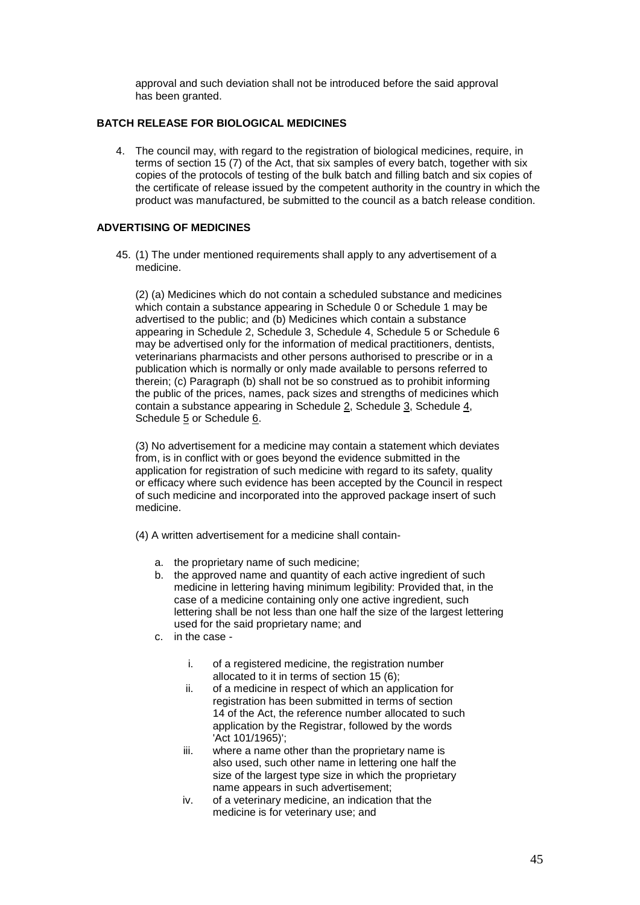approval and such deviation shall not be introduced before the said approval has been granted.

## **BATCH RELEASE FOR BIOLOGICAL MEDICINES**

4. The council may, with regard to the registration of biological medicines, require, in terms of section 15 (7) of the Act, that six samples of every batch, together with six copies of the protocols of testing of the bulk batch and filling batch and six copies of the certificate of release issued by the competent authority in the country in which the product was manufactured, be submitted to the council as a batch release condition.

### **ADVERTISING OF MEDICINES**

45. (1) The under mentioned requirements shall apply to any advertisement of a medicine.

(2) (a) Medicines which do not contain a scheduled substance and medicines which contain a substance appearing in Schedule 0 or Schedule 1 may be advertised to the public; and (b) Medicines which contain a substance appearing in Schedule 2, Schedule 3, Schedule 4, Schedule 5 or Schedule 6 may be advertised only for the information of medical practitioners, dentists, veterinarians pharmacists and other persons authorised to prescribe or in a publication which is normally or only made available to persons referred to therein; (c) Paragraph (b) shall not be so construed as to prohibit informing the public of the prices, names, pack sizes and strengths of medicines which contain a substance appearing in Schedule 2, Schedule 3, Schedule 4, Schedule 5 or Schedule 6.

(3) No advertisement for a medicine may contain a statement which deviates from, is in conflict with or goes beyond the evidence submitted in the application for registration of such medicine with regard to its safety, quality or efficacy where such evidence has been accepted by the Council in respect of such medicine and incorporated into the approved package insert of such medicine.

(4) A written advertisement for a medicine shall contain-

- a. the proprietary name of such medicine;
- b. the approved name and quantity of each active ingredient of such medicine in lettering having minimum legibility: Provided that, in the case of a medicine containing only one active ingredient, such lettering shall be not less than one half the size of the largest lettering used for the said proprietary name; and
- c. in the case
	- i. of a registered medicine, the registration number allocated to it in terms of section 15 (6);
	- ii. of a medicine in respect of which an application for registration has been submitted in terms of section 14 of the Act, the reference number allocated to such application by the Registrar, followed by the words 'Act 101/1965)';
	- iii. where a name other than the proprietary name is also used, such other name in lettering one half the size of the largest type size in which the proprietary name appears in such advertisement;
	- iv. of a veterinary medicine, an indication that the medicine is for veterinary use; and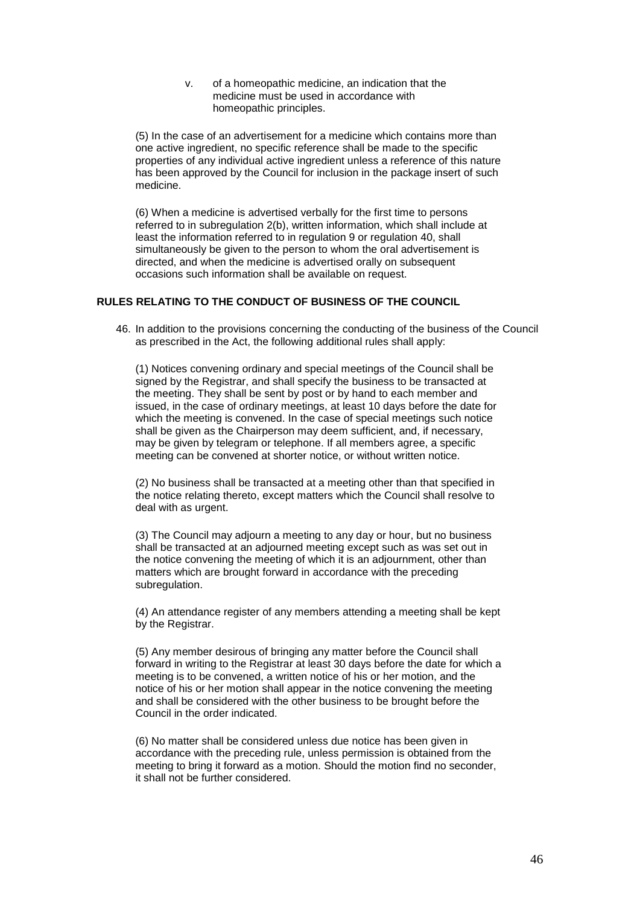v. of a homeopathic medicine, an indication that the medicine must be used in accordance with homeopathic principles.

(5) In the case of an advertisement for a medicine which contains more than one active ingredient, no specific reference shall be made to the specific properties of any individual active ingredient unless a reference of this nature has been approved by the Council for inclusion in the package insert of such medicine.

(6) When a medicine is advertised verbally for the first time to persons referred to in subregulation 2(b), written information, which shall include at least the information referred to in regulation 9 or regulation 40, shall simultaneously be given to the person to whom the oral advertisement is directed, and when the medicine is advertised orally on subsequent occasions such information shall be available on request.

# **RULES RELATING TO THE CONDUCT OF BUSINESS OF THE COUNCIL**

46. In addition to the provisions concerning the conducting of the business of the Council as prescribed in the Act, the following additional rules shall apply:

(1) Notices convening ordinary and special meetings of the Council shall be signed by the Registrar, and shall specify the business to be transacted at the meeting. They shall be sent by post or by hand to each member and issued, in the case of ordinary meetings, at least 10 days before the date for which the meeting is convened. In the case of special meetings such notice shall be given as the Chairperson may deem sufficient, and, if necessary, may be given by telegram or telephone. If all members agree, a specific meeting can be convened at shorter notice, or without written notice.

(2) No business shall be transacted at a meeting other than that specified in the notice relating thereto, except matters which the Council shall resolve to deal with as urgent.

(3) The Council may adjourn a meeting to any day or hour, but no business shall be transacted at an adjourned meeting except such as was set out in the notice convening the meeting of which it is an adjournment, other than matters which are brought forward in accordance with the preceding subregulation.

(4) An attendance register of any members attending a meeting shall be kept by the Registrar.

(5) Any member desirous of bringing any matter before the Council shall forward in writing to the Registrar at least 30 days before the date for which a meeting is to be convened, a written notice of his or her motion, and the notice of his or her motion shall appear in the notice convening the meeting and shall be considered with the other business to be brought before the Council in the order indicated.

(6) No matter shall be considered unless due notice has been given in accordance with the preceding rule, unless permission is obtained from the meeting to bring it forward as a motion. Should the motion find no seconder, it shall not be further considered.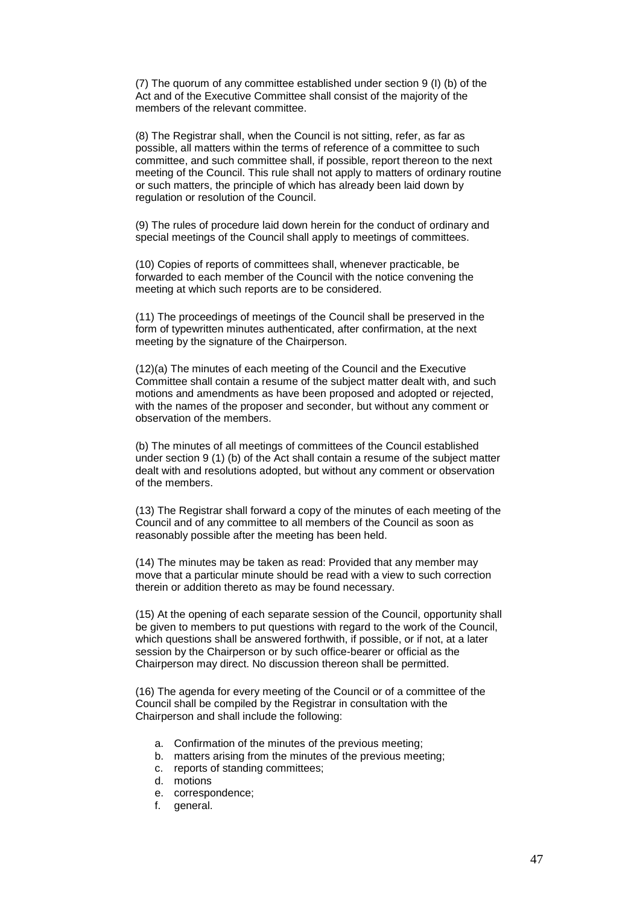(7) The quorum of any committee established under section 9 (I) (b) of the Act and of the Executive Committee shall consist of the majority of the members of the relevant committee.

(8) The Registrar shall, when the Council is not sitting, refer, as far as possible, all matters within the terms of reference of a committee to such committee, and such committee shall, if possible, report thereon to the next meeting of the Council. This rule shall not apply to matters of ordinary routine or such matters, the principle of which has already been laid down by regulation or resolution of the Council.

(9) The rules of procedure laid down herein for the conduct of ordinary and special meetings of the Council shall apply to meetings of committees.

(10) Copies of reports of committees shall, whenever practicable, be forwarded to each member of the Council with the notice convening the meeting at which such reports are to be considered.

(11) The proceedings of meetings of the Council shall be preserved in the form of typewritten minutes authenticated, after confirmation, at the next meeting by the signature of the Chairperson.

(12)(a) The minutes of each meeting of the Council and the Executive Committee shall contain a resume of the subject matter dealt with, and such motions and amendments as have been proposed and adopted or rejected, with the names of the proposer and seconder, but without any comment or observation of the members.

(b) The minutes of all meetings of committees of the Council established under section 9 (1) (b) of the Act shall contain a resume of the subject matter dealt with and resolutions adopted, but without any comment or observation of the members.

(13) The Registrar shall forward a copy of the minutes of each meeting of the Council and of any committee to all members of the Council as soon as reasonably possible after the meeting has been held.

(14) The minutes may be taken as read: Provided that any member may move that a particular minute should be read with a view to such correction therein or addition thereto as may be found necessary.

(15) At the opening of each separate session of the Council, opportunity shall be given to members to put questions with regard to the work of the Council, which questions shall be answered forthwith, if possible, or if not, at a later session by the Chairperson or by such office-bearer or official as the Chairperson may direct. No discussion thereon shall be permitted.

(16) The agenda for every meeting of the Council or of a committee of the Council shall be compiled by the Registrar in consultation with the Chairperson and shall include the following:

- a. Confirmation of the minutes of the previous meeting;
- b. matters arising from the minutes of the previous meeting;
- c. reports of standing committees;
- d. motions
- e. correspondence;
- f. general.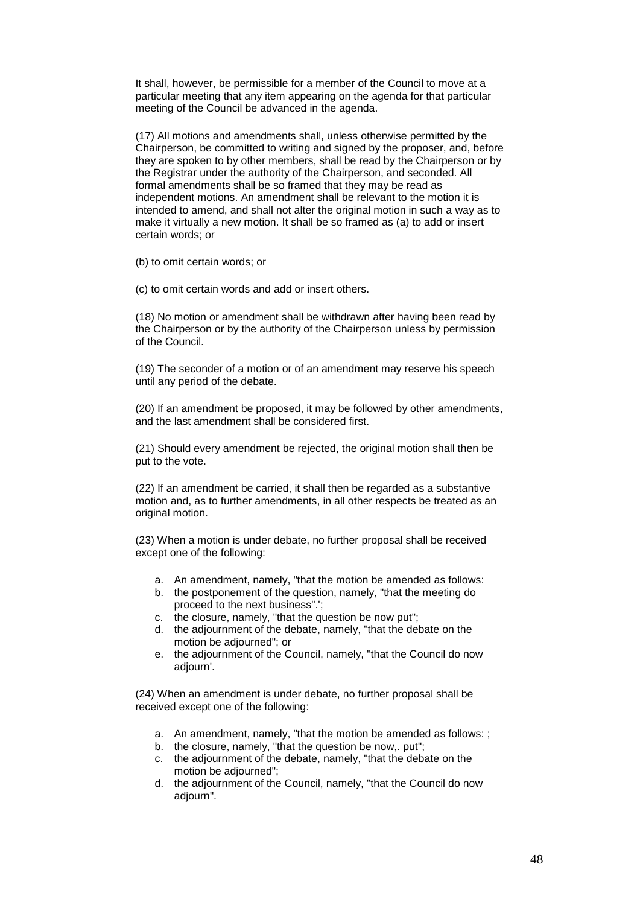It shall, however, be permissible for a member of the Council to move at a particular meeting that any item appearing on the agenda for that particular meeting of the Council be advanced in the agenda.

(17) All motions and amendments shall, unless otherwise permitted by the Chairperson, be committed to writing and signed by the proposer, and, before they are spoken to by other members, shall be read by the Chairperson or by the Registrar under the authority of the Chairperson, and seconded. All formal amendments shall be so framed that they may be read as independent motions. An amendment shall be relevant to the motion it is intended to amend, and shall not alter the original motion in such a way as to make it virtually a new motion. It shall be so framed as (a) to add or insert certain words; or

(b) to omit certain words; or

(c) to omit certain words and add or insert others.

(18) No motion or amendment shall be withdrawn after having been read by the Chairperson or by the authority of the Chairperson unless by permission of the Council.

(19) The seconder of a motion or of an amendment may reserve his speech until any period of the debate.

(20) If an amendment be proposed, it may be followed by other amendments, and the last amendment shall be considered first.

(21) Should every amendment be rejected, the original motion shall then be put to the vote.

(22) If an amendment be carried, it shall then be regarded as a substantive motion and, as to further amendments, in all other respects be treated as an original motion.

(23) When a motion is under debate, no further proposal shall be received except one of the following:

- a. An amendment, namely, "that the motion be amended as follows:
- b. the postponement of the question, namely, "that the meeting do proceed to the next business".';
- c. the closure, namely, "that the question be now put";
- d. the adjournment of the debate, namely, "that the debate on the motion be adjourned"; or
- e. the adjournment of the Council, namely, "that the Council do now adjourn'.

(24) When an amendment is under debate, no further proposal shall be received except one of the following:

- a. An amendment, namely, "that the motion be amended as follows: ;
- b. the closure, namely, "that the question be now,. put";
- c. the adjournment of the debate, namely, "that the debate on the motion be adjourned";
- d. the adjournment of the Council, namely, "that the Council do now adjourn".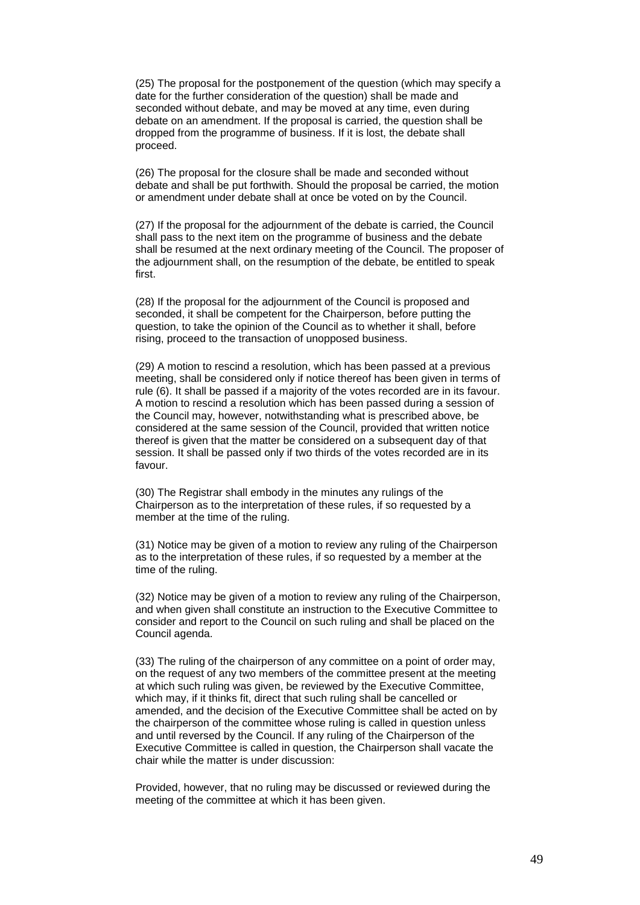(25) The proposal for the postponement of the question (which may specify a date for the further consideration of the question) shall be made and seconded without debate, and may be moved at any time, even during debate on an amendment. If the proposal is carried, the question shall be dropped from the programme of business. If it is lost, the debate shall proceed.

(26) The proposal for the closure shall be made and seconded without debate and shall be put forthwith. Should the proposal be carried, the motion or amendment under debate shall at once be voted on by the Council.

(27) If the proposal for the adjournment of the debate is carried, the Council shall pass to the next item on the programme of business and the debate shall be resumed at the next ordinary meeting of the Council. The proposer of the adjournment shall, on the resumption of the debate, be entitled to speak first.

(28) If the proposal for the adjournment of the Council is proposed and seconded, it shall be competent for the Chairperson, before putting the question, to take the opinion of the Council as to whether it shall, before rising, proceed to the transaction of unopposed business.

(29) A motion to rescind a resolution, which has been passed at a previous meeting, shall be considered only if notice thereof has been given in terms of rule (6). It shall be passed if a majority of the votes recorded are in its favour. A motion to rescind a resolution which has been passed during a session of the Council may, however, notwithstanding what is prescribed above, be considered at the same session of the Council, provided that written notice thereof is given that the matter be considered on a subsequent day of that session. It shall be passed only if two thirds of the votes recorded are in its favour.

(30) The Registrar shall embody in the minutes any rulings of the Chairperson as to the interpretation of these rules, if so requested by a member at the time of the ruling.

(31) Notice may be given of a motion to review any ruling of the Chairperson as to the interpretation of these rules, if so requested by a member at the time of the ruling.

(32) Notice may be given of a motion to review any ruling of the Chairperson, and when given shall constitute an instruction to the Executive Committee to consider and report to the Council on such ruling and shall be placed on the Council agenda.

(33) The ruling of the chairperson of any committee on a point of order may, on the request of any two members of the committee present at the meeting at which such ruling was given, be reviewed by the Executive Committee, which may, if it thinks fit, direct that such ruling shall be cancelled or amended, and the decision of the Executive Committee shall be acted on by the chairperson of the committee whose ruling is called in question unless and until reversed by the Council. If any ruling of the Chairperson of the Executive Committee is called in question, the Chairperson shall vacate the chair while the matter is under discussion:

Provided, however, that no ruling may be discussed or reviewed during the meeting of the committee at which it has been given.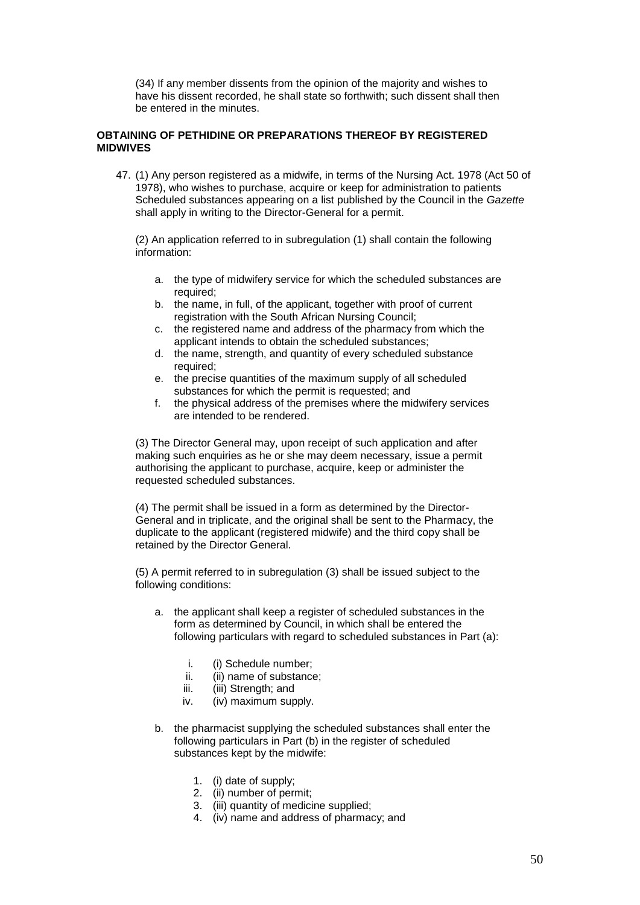(34) If any member dissents from the opinion of the majority and wishes to have his dissent recorded, he shall state so forthwith; such dissent shall then be entered in the minutes.

### **OBTAINING OF PETHIDINE OR PREPARATIONS THEREOF BY REGISTERED MIDWIVES**

47. (1) Any person registered as a midwife, in terms of the Nursing Act. 1978 (Act 50 of 1978), who wishes to purchase, acquire or keep for administration to patients Scheduled substances appearing on a list published by the Council in the *Gazette* shall apply in writing to the Director-General for a permit.

(2) An application referred to in subregulation (1) shall contain the following information:

- a. the type of midwifery service for which the scheduled substances are required;
- b. the name, in full, of the applicant, together with proof of current registration with the South African Nursing Council;
- c. the registered name and address of the pharmacy from which the applicant intends to obtain the scheduled substances;
- d. the name, strength, and quantity of every scheduled substance required;
- e. the precise quantities of the maximum supply of all scheduled substances for which the permit is requested; and
- f. the physical address of the premises where the midwifery services are intended to be rendered.

(3) The Director General may, upon receipt of such application and after making such enquiries as he or she may deem necessary, issue a permit authorising the applicant to purchase, acquire, keep or administer the requested scheduled substances.

(4) The permit shall be issued in a form as determined by the Director-General and in triplicate, and the original shall be sent to the Pharmacy, the duplicate to the applicant (registered midwife) and the third copy shall be retained by the Director General.

(5) A permit referred to in subregulation (3) shall be issued subject to the following conditions:

- a. the applicant shall keep a register of scheduled substances in the form as determined by Council, in which shall be entered the following particulars with regard to scheduled substances in Part (a):
	- i. (i) Schedule number;
	- ii. (ii) name of substance;
	- iii. (iii) Strength; and
	- iv. (iv) maximum supply.
- b. the pharmacist supplying the scheduled substances shall enter the following particulars in Part (b) in the register of scheduled substances kept by the midwife:
	- 1. (i) date of supply;
	- 2. (ii) number of permit;
	- 3. (iii) quantity of medicine supplied;
	- 4. (iv) name and address of pharmacy; and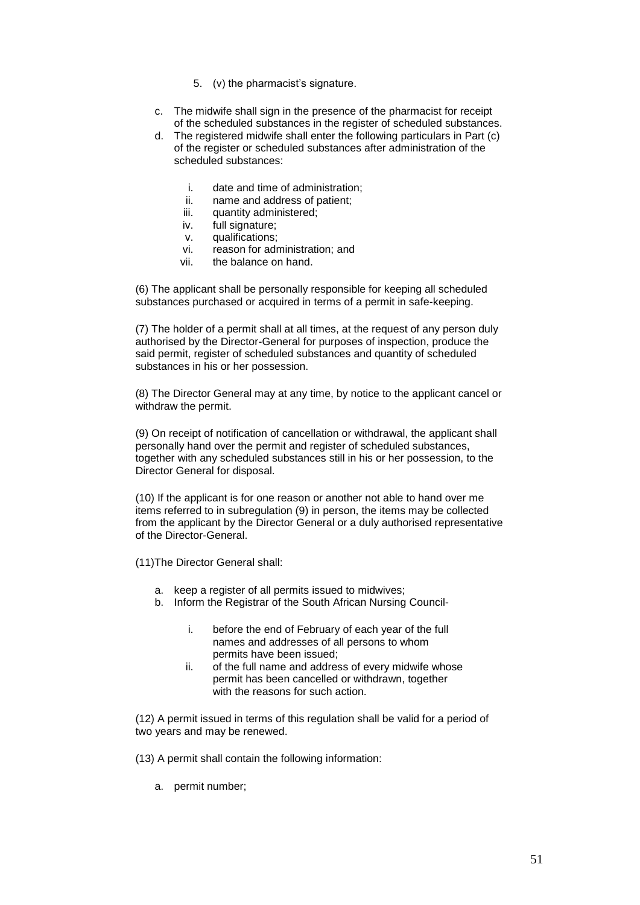- 5. (v) the pharmacist's signature.
- c. The midwife shall sign in the presence of the pharmacist for receipt of the scheduled substances in the register of scheduled substances.
- d. The registered midwife shall enter the following particulars in Part (c) of the register or scheduled substances after administration of the scheduled substances:
	- i. date and time of administration;
	- ii. name and address of patient;
	- iii. quantity administered:
	- iv. full signature;
	- v. qualifications;
	- vi. reason for administration; and
	- vii. the balance on hand.

(6) The applicant shall be personally responsible for keeping all scheduled substances purchased or acquired in terms of a permit in safe-keeping.

(7) The holder of a permit shall at all times, at the request of any person duly authorised by the Director-General for purposes of inspection, produce the said permit, register of scheduled substances and quantity of scheduled substances in his or her possession.

(8) The Director General may at any time, by notice to the applicant cancel or withdraw the permit.

(9) On receipt of notification of cancellation or withdrawal, the applicant shall personally hand over the permit and register of scheduled substances, together with any scheduled substances still in his or her possession, to the Director General for disposal.

(10) If the applicant is for one reason or another not able to hand over me items referred to in subregulation (9) in person, the items may be collected from the applicant by the Director General or a duly authorised representative of the Director-General.

(11)The Director General shall:

- a. keep a register of all permits issued to midwives;
- b. Inform the Registrar of the South African Nursing Council
	- i. before the end of February of each year of the full names and addresses of all persons to whom permits have been issued;
	- ii. of the full name and address of every midwife whose permit has been cancelled or withdrawn, together with the reasons for such action.

(12) A permit issued in terms of this regulation shall be valid for a period of two years and may be renewed.

(13) A permit shall contain the following information:

a. permit number;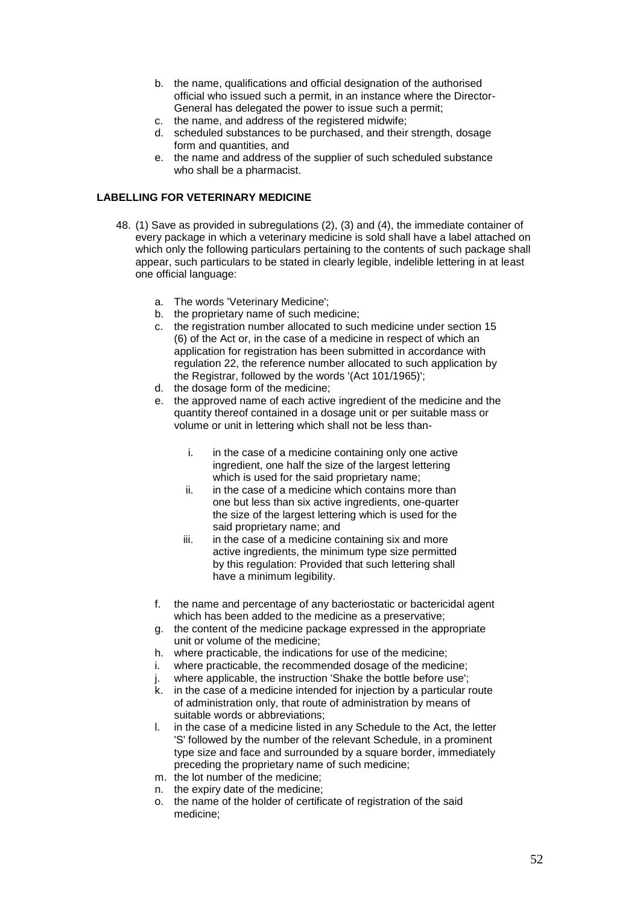- b. the name, qualifications and official designation of the authorised official who issued such a permit, in an instance where the Director-General has delegated the power to issue such a permit;
- c. the name, and address of the registered midwife;
- d. scheduled substances to be purchased, and their strength, dosage form and quantities, and
- e. the name and address of the supplier of such scheduled substance who shall be a pharmacist.

# **LABELLING FOR VETERINARY MEDICINE**

- 48. (1) Save as provided in subregulations (2), (3) and (4), the immediate container of every package in which a veterinary medicine is sold shall have a label attached on which only the following particulars pertaining to the contents of such package shall appear, such particulars to be stated in clearly legible, indelible lettering in at least one official language:
	- a. The words 'Veterinary Medicine';
	- b. the proprietary name of such medicine;
	- c. the registration number allocated to such medicine under section 15 (6) of the Act or, in the case of a medicine in respect of which an application for registration has been submitted in accordance with regulation 22, the reference number allocated to such application by the Registrar, followed by the words '(Act 101/1965)';
	- d. the dosage form of the medicine;
	- e. the approved name of each active ingredient of the medicine and the quantity thereof contained in a dosage unit or per suitable mass or volume or unit in lettering which shall not be less than
		- i. in the case of a medicine containing only one active ingredient, one half the size of the largest lettering which is used for the said proprietary name:
		- ii. in the case of a medicine which contains more than one but less than six active ingredients, one-quarter the size of the largest lettering which is used for the said proprietary name; and
		- iii. in the case of a medicine containing six and more active ingredients, the minimum type size permitted by this regulation: Provided that such lettering shall have a minimum legibility.
	- f. the name and percentage of any bacteriostatic or bactericidal agent which has been added to the medicine as a preservative;
	- g. the content of the medicine package expressed in the appropriate unit or volume of the medicine;
	- h. where practicable, the indications for use of the medicine;
	- i. where practicable, the recommended dosage of the medicine;
	- j. where applicable, the instruction 'Shake the bottle before use';
	- k. in the case of a medicine intended for injection by a particular route of administration only, that route of administration by means of suitable words or abbreviations;
	- l. in the case of a medicine listed in any Schedule to the Act, the letter 'S' followed by the number of the relevant Schedule, in a prominent type size and face and surrounded by a square border, immediately preceding the proprietary name of such medicine;
	- m. the lot number of the medicine;
	- n. the expiry date of the medicine;
	- o. the name of the holder of certificate of registration of the said medicine;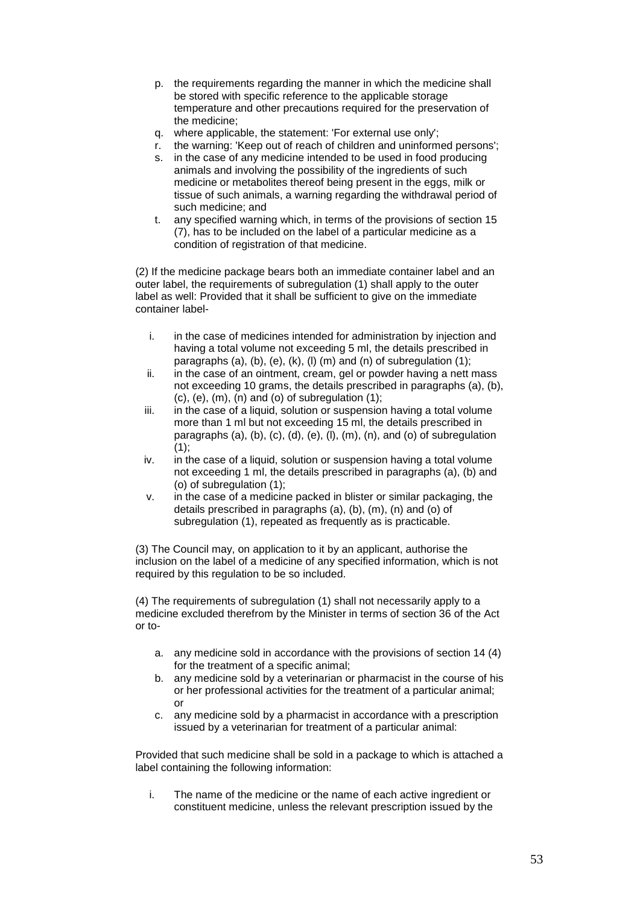- p. the requirements regarding the manner in which the medicine shall be stored with specific reference to the applicable storage temperature and other precautions required for the preservation of the medicine;
- q. where applicable, the statement: 'For external use only';
- r. the warning: 'Keep out of reach of children and uninformed persons';
- s. in the case of any medicine intended to be used in food producing animals and involving the possibility of the ingredients of such medicine or metabolites thereof being present in the eggs, milk or tissue of such animals, a warning regarding the withdrawal period of such medicine; and
- t. any specified warning which, in terms of the provisions of section 15 (7), has to be included on the label of a particular medicine as a condition of registration of that medicine.

(2) If the medicine package bears both an immediate container label and an outer label, the requirements of subregulation (1) shall apply to the outer label as well: Provided that it shall be sufficient to give on the immediate container label-

- i. in the case of medicines intended for administration by injection and having a total volume not exceeding 5 ml, the details prescribed in paragraphs (a), (b), (e), (k), (l) (m) and (n) of subregulation (1);
- ii. in the case of an ointment, cream, gel or powder having a nett mass not exceeding 10 grams, the details prescribed in paragraphs (a), (b),  $(c)$ ,  $(e)$ ,  $(m)$ ,  $(n)$  and  $(o)$  of subregulation  $(1)$ :
- iii. in the case of a liquid, solution or suspension having a total volume more than 1 ml but not exceeding 15 ml, the details prescribed in paragraphs (a), (b), (c), (d), (e), (l), (m), (n), and (o) of subregulation  $(1)$ ;
- iv. in the case of a liquid, solution or suspension having a total volume not exceeding 1 ml, the details prescribed in paragraphs (a), (b) and (o) of subregulation (1);
- v. in the case of a medicine packed in blister or similar packaging, the details prescribed in paragraphs (a), (b), (m), (n) and (o) of subregulation (1), repeated as frequently as is practicable.

(3) The Council may, on application to it by an applicant, authorise the inclusion on the label of a medicine of any specified information, which is not required by this regulation to be so included.

(4) The requirements of subregulation (1) shall not necessarily apply to a medicine excluded therefrom by the Minister in terms of section 36 of the Act or to-

- a. any medicine sold in accordance with the provisions of section 14 (4) for the treatment of a specific animal;
- b. any medicine sold by a veterinarian or pharmacist in the course of his or her professional activities for the treatment of a particular animal; or
- c. any medicine sold by a pharmacist in accordance with a prescription issued by a veterinarian for treatment of a particular animal:

Provided that such medicine shall be sold in a package to which is attached a label containing the following information:

i. The name of the medicine or the name of each active ingredient or constituent medicine, unless the relevant prescription issued by the